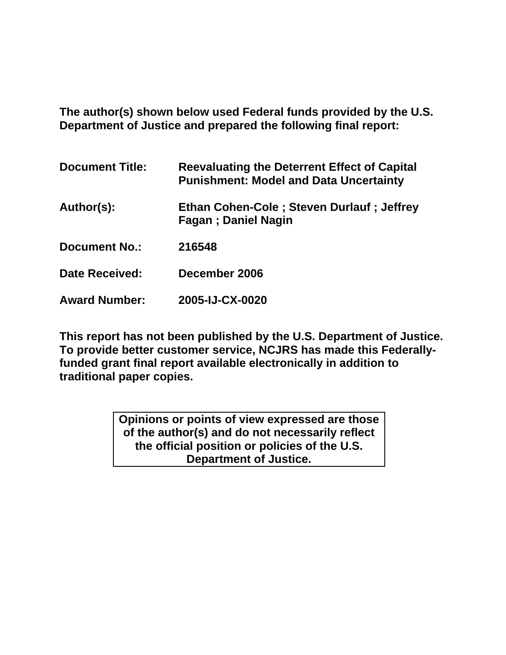**The author(s) shown below used Federal funds provided by the U.S. Department of Justice and prepared the following final report:** 

| <b>Document Title:</b> | Reevaluating the Deterrent Effect of Capital<br><b>Punishment: Model and Data Uncertainty</b> |
|------------------------|-----------------------------------------------------------------------------------------------|
| Author(s):             | Ethan Cohen-Cole; Steven Durlauf; Jeffrey<br><b>Fagan</b> ; Daniel Nagin                      |
| <b>Document No.:</b>   | 216548                                                                                        |
| <b>Date Received:</b>  | December 2006                                                                                 |
| <b>Award Number:</b>   | 2005-IJ-CX-0020                                                                               |

**This report has not been published by the U.S. Department of Justice. To provide better customer service, NCJRS has made this Federallyfunded grant final report available electronically in addition to traditional paper copies.** 

> **Opinions or points of view expressed are those of the author(s) and do not necessarily reflect the official position or policies of the U.S. Department of Justice.**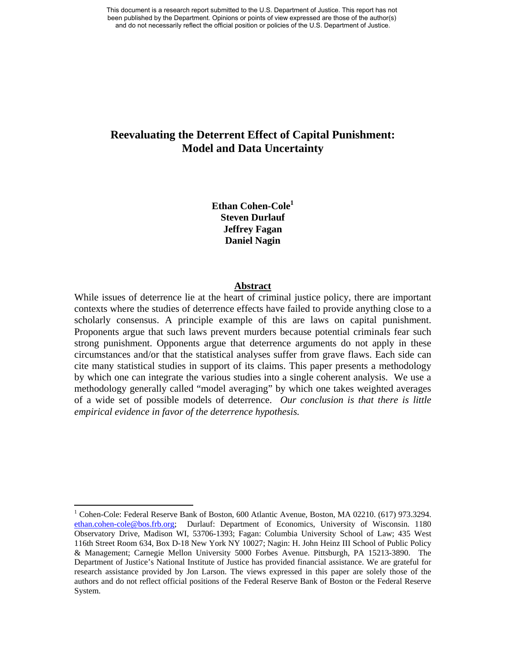# **Reevaluating the Deterrent Effect of Capital Punishment: Model and Data Uncertainty**

**Ethan Cohen-Cole<sup>1</sup> Steven Durlauf Jeffrey Fagan Daniel Nagin** 

## **Abstract**

While issues of deterrence lie at the heart of criminal justice policy, there are important contexts where the studies of deterrence effects have failed to provide anything close to a scholarly consensus. A principle example of this are laws on capital punishment. Proponents argue that such laws prevent murders because potential criminals fear such strong punishment. Opponents argue that deterrence arguments do not apply in these circumstances and/or that the statistical analyses suffer from grave flaws. Each side can cite many statistical studies in support of its claims. This paper presents a methodology by which one can integrate the various studies into a single coherent analysis. We use a methodology generally called "model averaging" by which one takes weighted averages of a wide set of possible models of deterrence. *Our conclusion is that there is little empirical evidence in favor of the deterrence hypothesis.* 

<sup>&</sup>lt;sup>1</sup> Cohen-Cole: Federal Reserve Bank of Boston, 600 Atlantic Avenue, Boston, MA 02210. (617) 973.3294. ethan.cohen-cole@bos.frb.org; Durlauf: Department of Economics, University of Wisconsin. 1180 Observatory Drive, Madison WI, 53706-1393; Fagan: Columbia University School of Law; 435 West 116th Street Room 634, Box D-18 New York NY 10027; Nagin: H. John Heinz III School of Public Policy & Management; Carnegie Mellon University 5000 Forbes Avenue. Pittsburgh, PA 15213-3890. The Department of Justice's National Institute of Justice has provided financial assistance. We are grateful for research assistance provided by Jon Larson. The views expressed in this paper are solely those of the authors and do not reflect official positions of the Federal Reserve Bank of Boston or the Federal Reserve System.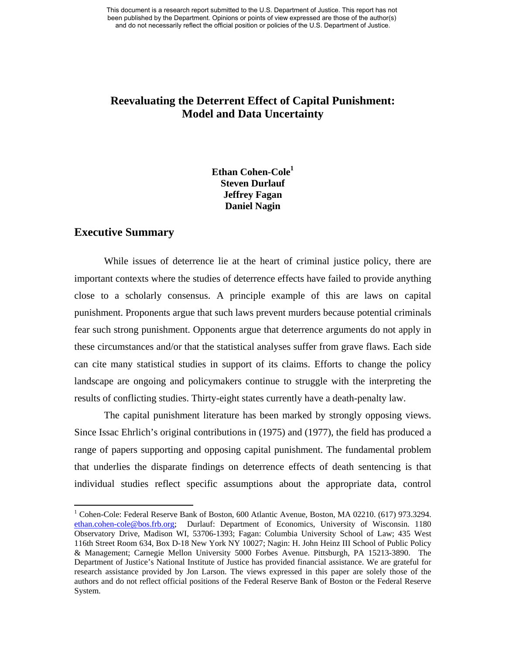# **Reevaluating the Deterrent Effect of Capital Punishment: Model and Data Uncertainty**

# **Ethan Cohen-Cole<sup>1</sup> Steven Durlauf Jeffrey Fagan Daniel Nagin**

# **Executive Summary**

While issues of deterrence lie at the heart of criminal justice policy, there are important contexts where the studies of deterrence effects have failed to provide anything close to a scholarly consensus. A principle example of this are laws on capital punishment. Proponents argue that such laws prevent murders because potential criminals fear such strong punishment. Opponents argue that deterrence arguments do not apply in these circumstances and/or that the statistical analyses suffer from grave flaws. Each side can cite many statistical studies in support of its claims. Efforts to change the policy landscape are ongoing and policymakers continue to struggle with the interpreting the results of conflicting studies. Thirty-eight states currently have a death-penalty law.

The capital punishment literature has been marked by strongly opposing views. Since Issac Ehrlich's original contributions in (1975) and (1977), the field has produced a range of papers supporting and opposing capital punishment. The fundamental problem that underlies the disparate findings on deterrence effects of death sentencing is that individual studies reflect specific assumptions about the appropriate data, control

<sup>&</sup>lt;sup>1</sup> Cohen-Cole: Federal Reserve Bank of Boston, 600 Atlantic Avenue, Boston, MA 02210. (617) 973.3294. ethan.cohen-cole@bos.frb.org; Durlauf: Department of Economics, University of Wisconsin. 1180 Observatory Drive, Madison WI, 53706-1393; Fagan: Columbia University School of Law; 435 West 116th Street Room 634, Box D-18 New York NY 10027; Nagin: H. John Heinz III School of Public Policy & Management; Carnegie Mellon University 5000 Forbes Avenue. Pittsburgh, PA 15213-3890. The Department of Justice's National Institute of Justice has provided financial assistance. We are grateful for research assistance provided by Jon Larson. The views expressed in this paper are solely those of the authors and do not reflect official positions of the Federal Reserve Bank of Boston or the Federal Reserve System.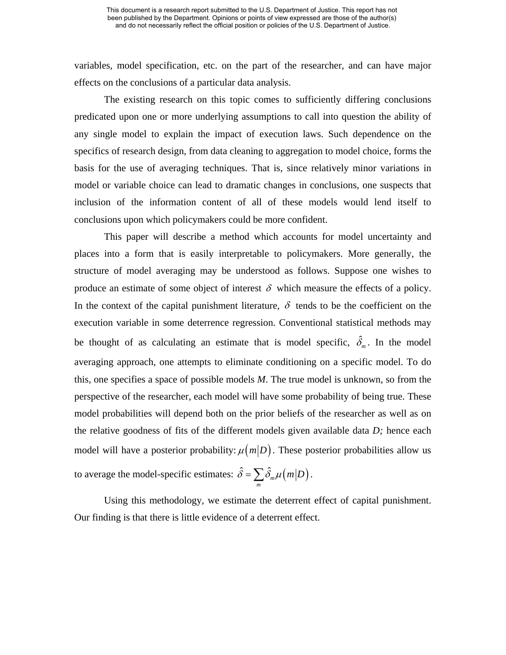variables, model specification, etc. on the part of the researcher, and can have major effects on the conclusions of a particular data analysis.

The existing research on this topic comes to sufficiently differing conclusions predicated upon one or more underlying assumptions to call into question the ability of any single model to explain the impact of execution laws. Such dependence on the specifics of research design, from data cleaning to aggregation to model choice, forms the basis for the use of averaging techniques. That is, since relatively minor variations in model or variable choice can lead to dramatic changes in conclusions, one suspects that inclusion of the information content of all of these models would lend itself to conclusions upon which policymakers could be more confident.

This paper will describe a method which accounts for model uncertainty and places into a form that is easily interpretable to policymakers. More generally, the structure of model averaging may be understood as follows. Suppose one wishes to produce an estimate of some object of interest  $\delta$  which measure the effects of a policy. In the context of the capital punishment literature,  $\delta$  tends to be the coefficient on the execution variable in some deterrence regression. Conventional statistical methods may be thought of as calculating an estimate that is model specific,  $\hat{\delta}_m$ . In the model averaging approach, one attempts to eliminate conditioning on a specific model. To do this, one specifies a space of possible models *M*. The true model is unknown, so from the perspective of the researcher, each model will have some probability of being true. These model probabilities will depend both on the prior beliefs of the researcher as well as on the relative goodness of fits of the different models given available data *D;* hence each model will have a posterior probability:  $\mu(m|D)$ . These posterior probabilities allow us to average the model-specific estimates:  $\hat{\delta} = \sum \hat{\delta}_{m} \mu \left( m \middle| D \right)$ . *m* 

Using this methodology, we estimate the deterrent effect of capital punishment. Our finding is that there is little evidence of a deterrent effect.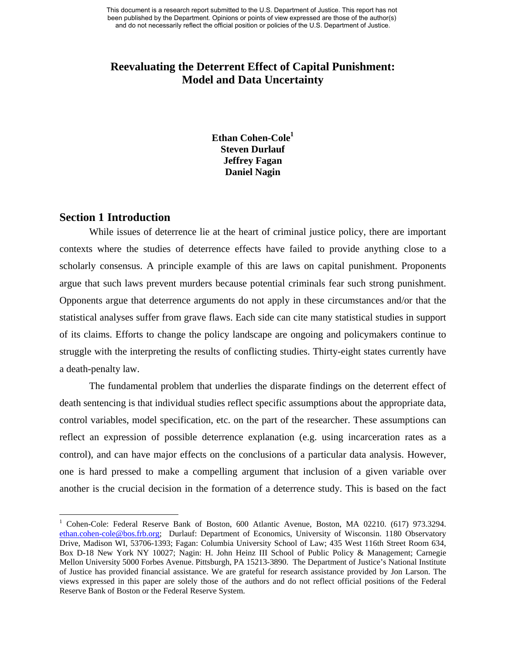# **Reevaluating the Deterrent Effect of Capital Punishment: Model and Data Uncertainty**

**Ethan Cohen-Cole<sup>1</sup> Steven Durlauf Jeffrey Fagan Daniel Nagin** 

## **Section 1 Introduction**

While issues of deterrence lie at the heart of criminal justice policy, there are important contexts where the studies of deterrence effects have failed to provide anything close to a scholarly consensus. A principle example of this are laws on capital punishment. Proponents argue that such laws prevent murders because potential criminals fear such strong punishment. Opponents argue that deterrence arguments do not apply in these circumstances and/or that the statistical analyses suffer from grave flaws. Each side can cite many statistical studies in support of its claims. Efforts to change the policy landscape are ongoing and policymakers continue to struggle with the interpreting the results of conflicting studies. Thirty-eight states currently have a death-penalty law.

The fundamental problem that underlies the disparate findings on the deterrent effect of death sentencing is that individual studies reflect specific assumptions about the appropriate data, control variables, model specification, etc. on the part of the researcher. These assumptions can reflect an expression of possible deterrence explanation (e.g. using incarceration rates as a control), and can have major effects on the conclusions of a particular data analysis. However, one is hard pressed to make a compelling argument that inclusion of a given variable over another is the crucial decision in the formation of a deterrence study. This is based on the fact

<sup>&</sup>lt;sup>1</sup> Cohen-Cole: Federal Reserve Bank of Boston, 600 Atlantic Avenue, Boston, MA 02210. (617) 973.3294. ethan.cohen-cole@bos.frb.org; Durlauf: Department of Economics, University of Wisconsin. 1180 Observatory Drive, Madison WI, 53706-1393; Fagan: Columbia University School of Law; 435 West 116th Street Room 634, Box D-18 New York NY 10027; Nagin: H. John Heinz III School of Public Policy & Management; Carnegie Mellon University 5000 Forbes Avenue. Pittsburgh, PA 15213-3890. The Department of Justice's National Institute of Justice has provided financial assistance. We are grateful for research assistance provided by Jon Larson. The views expressed in this paper are solely those of the authors and do not reflect official positions of the Federal Reserve Bank of Boston or the Federal Reserve System.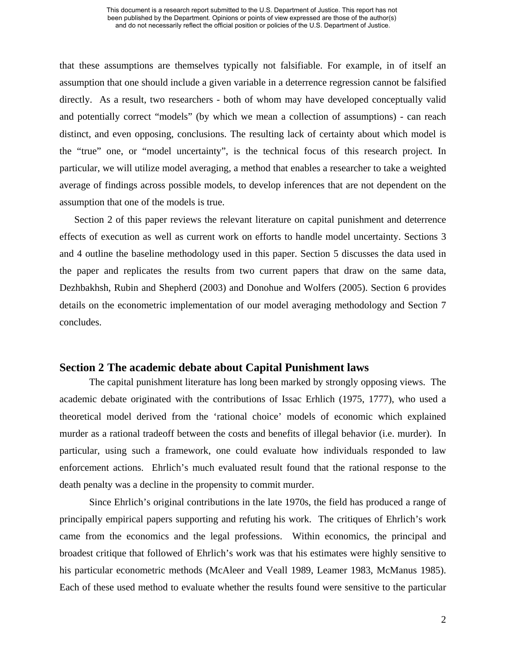that these assumptions are themselves typically not falsifiable. For example, in of itself an assumption that one should include a given variable in a deterrence regression cannot be falsified directly. As a result, two researchers - both of whom may have developed conceptually valid and potentially correct "models" (by which we mean a collection of assumptions) - can reach distinct, and even opposing, conclusions. The resulting lack of certainty about which model is the "true" one, or "model uncertainty", is the technical focus of this research project. In particular, we will utilize model averaging, a method that enables a researcher to take a weighted average of findings across possible models, to develop inferences that are not dependent on the assumption that one of the models is true.

Section 2 of this paper reviews the relevant literature on capital punishment and deterrence effects of execution as well as current work on efforts to handle model uncertainty. Sections 3 and 4 outline the baseline methodology used in this paper. Section 5 discusses the data used in the paper and replicates the results from two current papers that draw on the same data, Dezhbakhsh, Rubin and Shepherd (2003) and Donohue and Wolfers (2005). Section 6 provides details on the econometric implementation of our model averaging methodology and Section 7 concludes.

## **Section 2 The academic debate about Capital Punishment laws**

The capital punishment literature has long been marked by strongly opposing views. The academic debate originated with the contributions of Issac Erhlich (1975, 1777), who used a theoretical model derived from the 'rational choice' models of economic which explained murder as a rational tradeoff between the costs and benefits of illegal behavior (i.e. murder). In particular, using such a framework, one could evaluate how individuals responded to law enforcement actions. Ehrlich's much evaluated result found that the rational response to the death penalty was a decline in the propensity to commit murder.

Since Ehrlich's original contributions in the late 1970s, the field has produced a range of principally empirical papers supporting and refuting his work. The critiques of Ehrlich's work came from the economics and the legal professions. Within economics, the principal and broadest critique that followed of Ehrlich's work was that his estimates were highly sensitive to his particular econometric methods (McAleer and Veall 1989, Leamer 1983, McManus 1985). Each of these used method to evaluate whether the results found were sensitive to the particular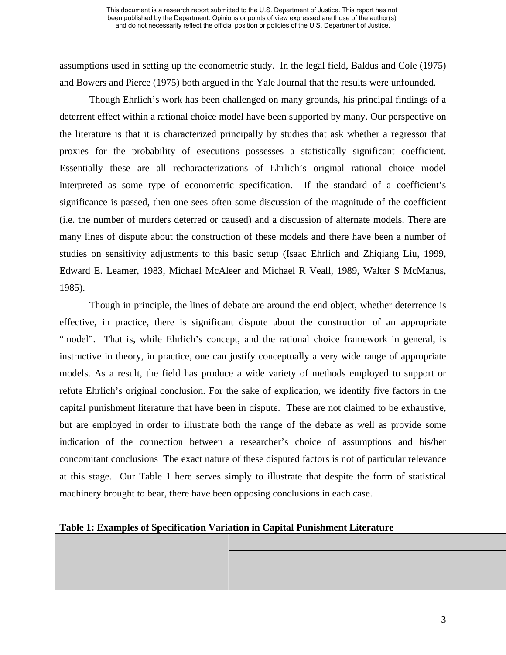assumptions used in setting up the econometric study. In the legal field, Baldus and Cole (1975) and Bowers and Pierce (1975) both argued in the Yale Journal that the results were unfounded.

Though Ehrlich's work has been challenged on many grounds, his principal findings of a deterrent effect within a rational choice model have been supported by many. Our perspective on the literature is that it is characterized principally by studies that ask whether a regressor that proxies for the probability of executions possesses a statistically significant coefficient. Essentially these are all recharacterizations of Ehrlich's original rational choice model interpreted as some type of econometric specification. If the standard of a coefficient's significance is passed, then one sees often some discussion of the magnitude of the coefficient (i.e. the number of murders deterred or caused) and a discussion of alternate models. There are many lines of dispute about the construction of these models and there have been a number of studies on sensitivity adjustments to this basic setup (Isaac Ehrlich and Zhiqiang Liu, 1999, Edward E. Leamer, 1983, Michael McAleer and Michael R Veall, 1989, Walter S McManus, 1985).

Though in principle, the lines of debate are around the end object, whether deterrence is effective, in practice, there is significant dispute about the construction of an appropriate "model". That is, while Ehrlich's concept, and the rational choice framework in general, is instructive in theory, in practice, one can justify conceptually a very wide range of appropriate models. As a result, the field has produce a wide variety of methods employed to support or refute Ehrlich's original conclusion. For the sake of explication, we identify five factors in the capital punishment literature that have been in dispute. These are not claimed to be exhaustive, but are employed in order to illustrate both the range of the debate as well as provide some indication of the connection between a researcher's choice of assumptions and his/her concomitant conclusions The exact nature of these disputed factors is not of particular relevance at this stage. Our Table 1 here serves simply to illustrate that despite the form of statistical machinery brought to bear, there have been opposing conclusions in each case.

## **Table 1: Examples of Specification Variation in Capital Punishment Literature**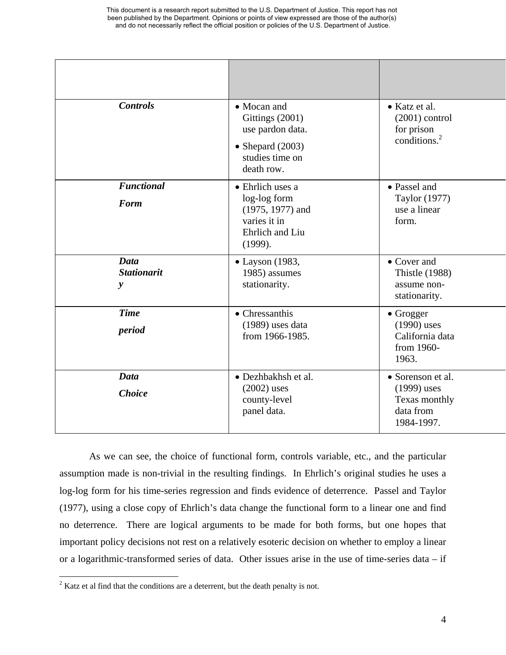| <b>Controls</b>                                   | • Mocan and<br>Gittings (2001)<br>use pardon data.<br>• Shepard $(2003)$<br>studies time on<br>death row. | • Katz et al.<br>$(2001)$ control<br>for prison<br>conditions. <sup>2</sup>    |
|---------------------------------------------------|-----------------------------------------------------------------------------------------------------------|--------------------------------------------------------------------------------|
| <b>Functional</b><br><b>Form</b>                  | • Ehrlich uses a<br>log-log form<br>$(1975, 1977)$ and<br>varies it in<br>Ehrlich and Liu<br>(1999).      | • Passel and<br>Taylor (1977)<br>use a linear<br>form.                         |
| <b>Data</b><br><b>Stationarit</b><br>$\mathbf{y}$ | $\bullet$ Layson (1983,<br>1985) assumes<br>stationarity.                                                 | • Cover and<br><b>Thistle (1988)</b><br>assume non-<br>stationarity.           |
| <b>Time</b><br>period                             | • Chressanthis<br>(1989) uses data<br>from 1966-1985.                                                     | • Grogger<br>$(1990)$ uses<br>California data<br>from 1960-<br>1963.           |
| <b>Data</b><br><b>Choice</b>                      | • Dezhbakhsh et al.<br>$(2002)$ uses<br>county-level<br>panel data.                                       | • Sorenson et al.<br>$(1999)$ uses<br>Texas monthly<br>data from<br>1984-1997. |

As we can see, the choice of functional form, controls variable, etc., and the particular assumption made is non-trivial in the resulting findings. In Ehrlich's original studies he uses a log-log form for his time-series regression and finds evidence of deterrence. Passel and Taylor (1977), using a close copy of Ehrlich's data change the functional form to a linear one and find no deterrence. There are logical arguments to be made for both forms, but one hopes that important policy decisions not rest on a relatively esoteric decision on whether to employ a linear or a logarithmic-transformed series of data. Other issues arise in the use of time-series data – if

 $2^2$  Katz et al find that the conditions are a deterrent, but the death penalty is not.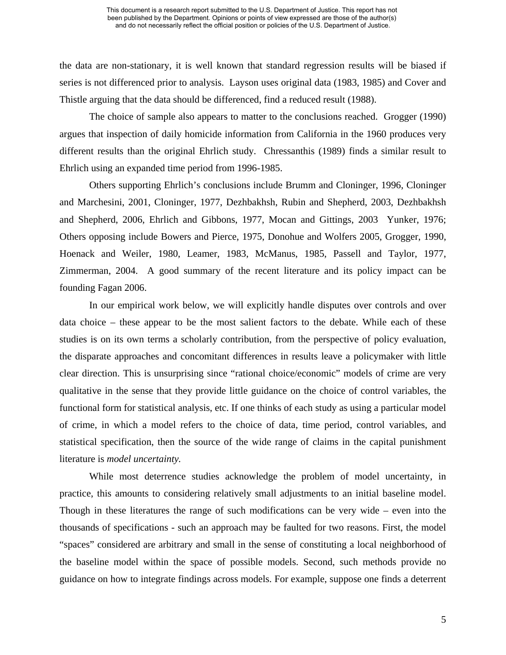the data are non-stationary, it is well known that standard regression results will be biased if series is not differenced prior to analysis. Layson uses original data (1983, 1985) and Cover and Thistle arguing that the data should be differenced, find a reduced result (1988).

The choice of sample also appears to matter to the conclusions reached. Grogger (1990) argues that inspection of daily homicide information from California in the 1960 produces very different results than the original Ehrlich study. Chressanthis (1989) finds a similar result to Ehrlich using an expanded time period from 1996-1985.

Others supporting Ehrlich's conclusions include Brumm and Cloninger, 1996, Cloninger and Marchesini, 2001, Cloninger, 1977, Dezhbakhsh, Rubin and Shepherd, 2003, Dezhbakhsh and Shepherd, 2006, Ehrlich and Gibbons, 1977, Mocan and Gittings, 2003 Yunker, 1976; Others opposing include Bowers and Pierce, 1975, Donohue and Wolfers 2005, Grogger, 1990, Hoenack and Weiler, 1980, Leamer, 1983, McManus, 1985, Passell and Taylor, 1977, Zimmerman, 2004. A good summary of the recent literature and its policy impact can be founding Fagan 2006.

In our empirical work below, we will explicitly handle disputes over controls and over data choice – these appear to be the most salient factors to the debate. While each of these studies is on its own terms a scholarly contribution, from the perspective of policy evaluation, the disparate approaches and concomitant differences in results leave a policymaker with little clear direction. This is unsurprising since "rational choice/economic" models of crime are very qualitative in the sense that they provide little guidance on the choice of control variables, the functional form for statistical analysis, etc. If one thinks of each study as using a particular model of crime, in which a model refers to the choice of data, time period, control variables, and statistical specification, then the source of the wide range of claims in the capital punishment literature is *model uncertainty.* 

While most deterrence studies acknowledge the problem of model uncertainty, in practice, this amounts to considering relatively small adjustments to an initial baseline model. Though in these literatures the range of such modifications can be very wide – even into the thousands of specifications - such an approach may be faulted for two reasons. First, the model "spaces" considered are arbitrary and small in the sense of constituting a local neighborhood of the baseline model within the space of possible models. Second, such methods provide no guidance on how to integrate findings across models. For example, suppose one finds a deterrent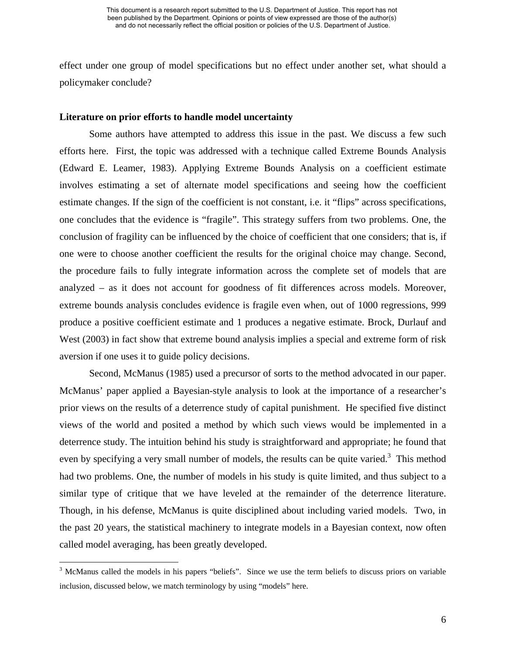effect under one group of model specifications but no effect under another set, what should a policymaker conclude?

## **Literature on prior efforts to handle model uncertainty**

Some authors have attempted to address this issue in the past. We discuss a few such efforts here. First, the topic was addressed with a technique called Extreme Bounds Analysis (Edward E. Leamer, 1983). Applying Extreme Bounds Analysis on a coefficient estimate involves estimating a set of alternate model specifications and seeing how the coefficient estimate changes. If the sign of the coefficient is not constant, i.e. it "flips" across specifications, one concludes that the evidence is "fragile". This strategy suffers from two problems. One, the conclusion of fragility can be influenced by the choice of coefficient that one considers; that is, if one were to choose another coefficient the results for the original choice may change. Second, the procedure fails to fully integrate information across the complete set of models that are analyzed – as it does not account for goodness of fit differences across models. Moreover, extreme bounds analysis concludes evidence is fragile even when, out of 1000 regressions, 999 produce a positive coefficient estimate and 1 produces a negative estimate. Brock, Durlauf and West (2003) in fact show that extreme bound analysis implies a special and extreme form of risk aversion if one uses it to guide policy decisions.

Second, McManus (1985) used a precursor of sorts to the method advocated in our paper. McManus' paper applied a Bayesian-style analysis to look at the importance of a researcher's prior views on the results of a deterrence study of capital punishment. He specified five distinct views of the world and posited a method by which such views would be implemented in a deterrence study. The intuition behind his study is straightforward and appropriate; he found that even by specifying a very small number of models, the results can be quite varied.<sup>3</sup> This method had two problems. One, the number of models in his study is quite limited, and thus subject to a similar type of critique that we have leveled at the remainder of the deterrence literature. Though, in his defense, McManus is quite disciplined about including varied models. Two, in the past 20 years, the statistical machinery to integrate models in a Bayesian context, now often called model averaging, has been greatly developed.

<sup>&</sup>lt;sup>3</sup> McManus called the models in his papers "beliefs". Since we use the term beliefs to discuss priors on variable inclusion, discussed below, we match terminology by using "models" here.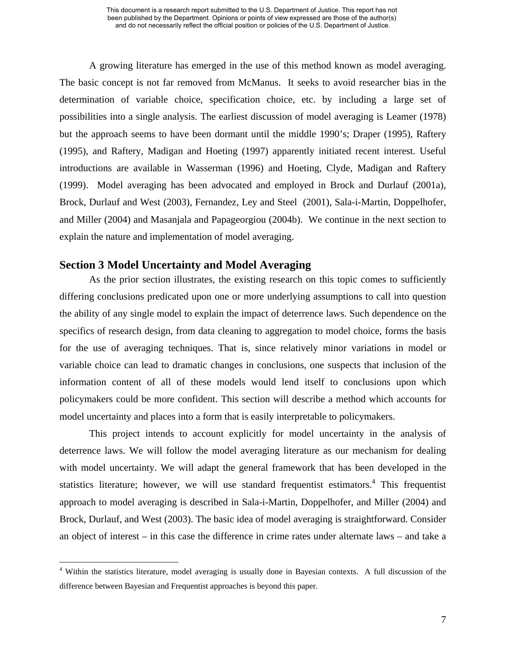A growing literature has emerged in the use of this method known as model averaging. The basic concept is not far removed from McManus. It seeks to avoid researcher bias in the determination of variable choice, specification choice, etc. by including a large set of possibilities into a single analysis. The earliest discussion of model averaging is Leamer (1978) but the approach seems to have been dormant until the middle 1990's; Draper (1995), Raftery (1995), and Raftery, Madigan and Hoeting (1997) apparently initiated recent interest. Useful introductions are available in Wasserman (1996) and Hoeting, Clyde, Madigan and Raftery (1999). Model averaging has been advocated and employed in Brock and Durlauf (2001a), Brock, Durlauf and West (2003), Fernandez, Ley and Steel (2001), Sala-i-Martin, Doppelhofer, and Miller (2004) and Masanjala and Papageorgiou (2004b). We continue in the next section to explain the nature and implementation of model averaging.

# **Section 3 Model Uncertainty and Model Averaging**

As the prior section illustrates, the existing research on this topic comes to sufficiently differing conclusions predicated upon one or more underlying assumptions to call into question the ability of any single model to explain the impact of deterrence laws. Such dependence on the specifics of research design, from data cleaning to aggregation to model choice, forms the basis for the use of averaging techniques. That is, since relatively minor variations in model or variable choice can lead to dramatic changes in conclusions, one suspects that inclusion of the information content of all of these models would lend itself to conclusions upon which policymakers could be more confident. This section will describe a method which accounts for model uncertainty and places into a form that is easily interpretable to policymakers.

This project intends to account explicitly for model uncertainty in the analysis of deterrence laws. We will follow the model averaging literature as our mechanism for dealing with model uncertainty. We will adapt the general framework that has been developed in the statistics literature; however, we will use standard frequentist estimators.<sup>4</sup> This frequentist approach to model averaging is described in Sala-i-Martin, Doppelhofer, and Miller (2004) and Brock, Durlauf, and West (2003). The basic idea of model averaging is straightforward. Consider an object of interest – in this case the difference in crime rates under alternate laws – and take a

<sup>&</sup>lt;sup>4</sup> Within the statistics literature, model averaging is usually done in Bayesian contexts. A full discussion of the difference between Bayesian and Frequentist approaches is beyond this paper.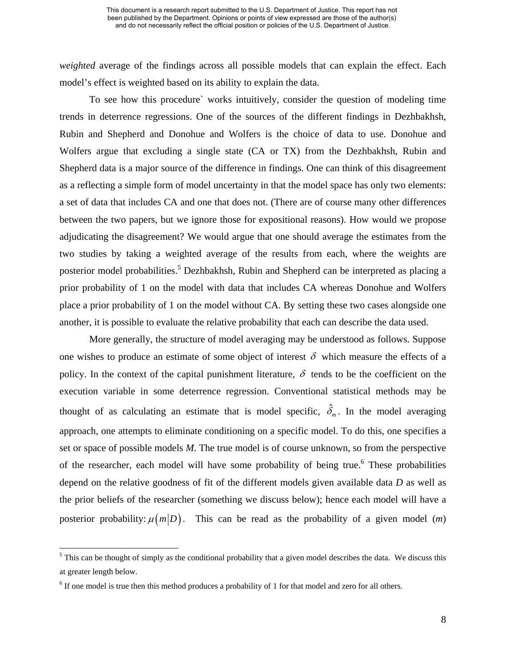*weighted* average of the findings across all possible models that can explain the effect. Each model's effect is weighted based on its ability to explain the data.

To see how this procedure` works intuitively, consider the question of modeling time trends in deterrence regressions. One of the sources of the different findings in Dezhbakhsh, Rubin and Shepherd and Donohue and Wolfers is the choice of data to use. Donohue and Wolfers argue that excluding a single state (CA or TX) from the Dezhbakhsh, Rubin and Shepherd data is a major source of the difference in findings. One can think of this disagreement as a reflecting a simple form of model uncertainty in that the model space has only two elements: a set of data that includes CA and one that does not. (There are of course many other differences between the two papers, but we ignore those for expositional reasons). How would we propose adjudicating the disagreement? We would argue that one should average the estimates from the two studies by taking a weighted average of the results from each, where the weights are posterior model probabilities.<sup>5</sup> Dezhbakhsh, Rubin and Shepherd can be interpreted as placing a prior probability of 1 on the model with data that includes CA whereas Donohue and Wolfers place a prior probability of 1 on the model without CA. By setting these two cases alongside one another, it is possible to evaluate the relative probability that each can describe the data used.

More generally, the structure of model averaging may be understood as follows. Suppose one wishes to produce an estimate of some object of interest  $\delta$  which measure the effects of a policy. In the context of the capital punishment literature,  $\delta$  tends to be the coefficient on the execution variable in some deterrence regression. Conventional statistical methods may be thought of as calculating an estimate that is model specific,  $\hat{\delta}_m$ . In the model averaging approach, one attempts to eliminate conditioning on a specific model. To do this, one specifies a set or space of possible models *M*. The true model is of course unknown, so from the perspective of the researcher, each model will have some probability of being true.<sup>6</sup> These probabilities depend on the relative goodness of fit of the different models given available data *D* as well as the prior beliefs of the researcher (something we discuss below); hence each model will have a posterior probability:  $\mu(m|D)$ . This can be read as the probability of a given model (*m*)

 $<sup>5</sup>$  This can be thought of simply as the conditional probability that a given model describes the data. We discuss this</sup> at greater length below.

<sup>&</sup>lt;sup>6</sup> If one model is true then this method produces a probability of 1 for that model and zero for all others.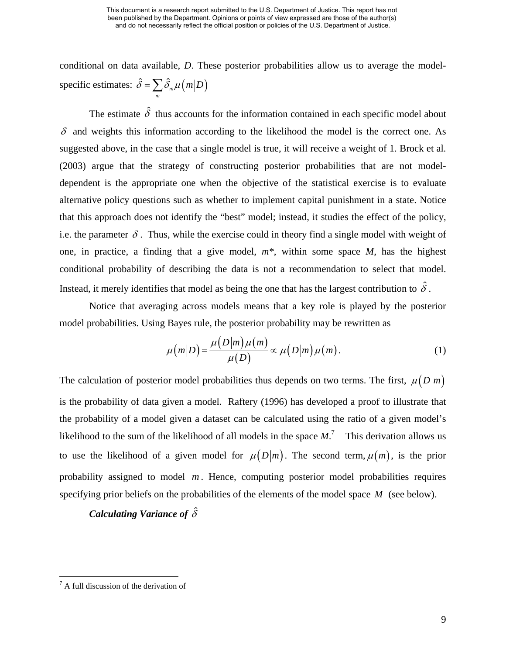conditional on data available, *D*. These posterior probabilities allow us to average the modelspecific estimates:  $\hat{\delta} = \sum \hat{\delta}_m \mu$  $\hat{\delta} = \sum_{m} \hat{\delta}_{m} \mu\left(m|D\right)$ 

The estimate  $\hat{\delta}$  thus accounts for the information contained in each specific model about  $\delta$  and weights this information according to the likelihood the model is the correct one. As suggested above, in the case that a single model is true, it will receive a weight of 1. Brock et al. (2003) argue that the strategy of constructing posterior probabilities that are not modeldependent is the appropriate one when the objective of the statistical exercise is to evaluate alternative policy questions such as whether to implement capital punishment in a state. Notice that this approach does not identify the "best" model; instead, it studies the effect of the policy, i.e. the parameter  $\delta$ . Thus, while the exercise could in theory find a single model with weight of one, in practice, a finding that a give model, *m\**, within some space *M*, has the highest conditional probability of describing the data is not a recommendation to select that model. Instead, it merely identifies that model as being the one that has the largest contribution to  $\hat{\delta}$ .

Notice that averaging across models means that a key role is played by the posterior model probabilities. Using Bayes rule, the posterior probability may be rewritten as

$$
\mu(m|D) = \frac{\mu(D|m)\mu(m)}{\mu(D)} \propto \mu(D|m)\mu(m). \tag{1}
$$

The calculation of posterior model probabilities thus depends on two terms. The first,  $\mu(D|m)$ is the probability of data given a model. Raftery (1996) has developed a proof to illustrate that the probability of a model given a dataset can be calculated using the ratio of a given model's likelihood to the sum of the likelihood of all models in the space  $M$ .<sup>7</sup> This derivation allows us to use the likelihood of a given model for  $\mu(D|m)$ . The second term,  $\mu(m)$ , is the prior probability assigned to model  $m$ . Hence, computing posterior model probabilities requires specifying prior beliefs on the probabilities of the elements of the model space *M* (see below).

# *Calculating Variance of* ˆ<sup>δ</sup>

 $<sup>7</sup>$  A full discussion of the derivation of</sup>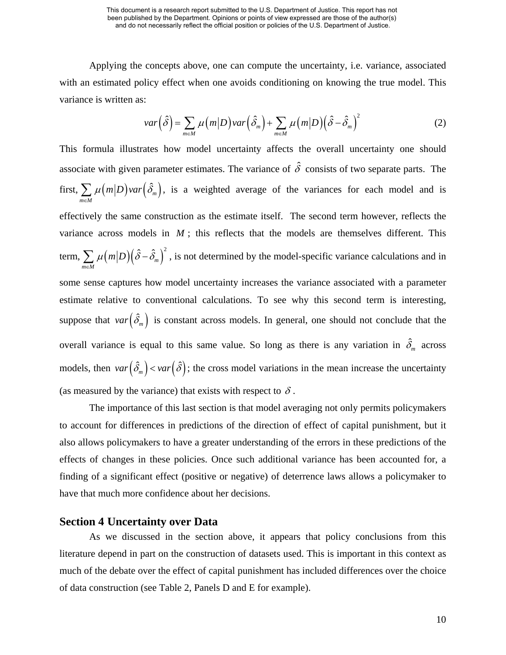Applying the concepts above, one can compute the uncertainty, i.e. variance, associated with an estimated policy effect when one avoids conditioning on knowing the true model. This variance is written as:

$$
var\left(\hat{\delta}\right) = \sum_{m \in M} \mu\left(m|D\right) var\left(\hat{\delta}_m\right) + \sum_{m \in M} \mu\left(m|D\right) \left(\hat{\delta} - \hat{\delta}_m\right)^2 \tag{2}
$$

This formula illustrates how model uncertainty affects the overall uncertainty one should associate with given parameter estimates. The variance of  $\hat{\delta}$  consists of two separate parts. The first,  $\sum \mu \big( m \big| D \big)$ var $\big( \hat{\delta}_{\scriptscriptstyle m}$  $m \in M$  $\mu(m|D)$ *var*  $(\delta)$  $\sum_{n \in M} \mu(m|D) \text{var}(\hat{\delta}_m)$ , is a weighted average of the variances for each model and is effectively the same construction as the estimate itself. The second term however, reflects the variance across models in  $M$ ; this reflects that the models are themselves different. This term,  $\sum \mu(m|D) (\hat{\delta} - \hat{\delta}_m)^2$  $m \in M$  $\mu(m|D)(\hat{\delta}-\hat{\delta})$  $\sum_{n \in M} \mu(m|D) (\hat{\delta} - \hat{\delta}_m)^2$ , is not determined by the model-specific variance calculations and in some sense captures how model uncertainty increases the variance associated with a parameter estimate relative to conventional calculations. To see why this second term is interesting, suppose that  $var(\hat{\delta}_m)$  is constant across models. In general, one should not conclude that the overall variance is equal to this same value. So long as there is any variation in  $\hat{\delta}_m$  across models, then  $var(\hat{\delta}_m) < var(\hat{\delta})$ ; the cross model variations in the mean increase the uncertainty (as measured by the variance) that exists with respect to  $\delta$ .

The importance of this last section is that model averaging not only permits policymakers to account for differences in predictions of the direction of effect of capital punishment, but it also allows policymakers to have a greater understanding of the errors in these predictions of the effects of changes in these policies. Once such additional variance has been accounted for, a finding of a significant effect (positive or negative) of deterrence laws allows a policymaker to have that much more confidence about her decisions.

## **Section 4 Uncertainty over Data**

As we discussed in the section above, it appears that policy conclusions from this literature depend in part on the construction of datasets used. This is important in this context as much of the debate over the effect of capital punishment has included differences over the choice of data construction (see Table 2, Panels D and E for example).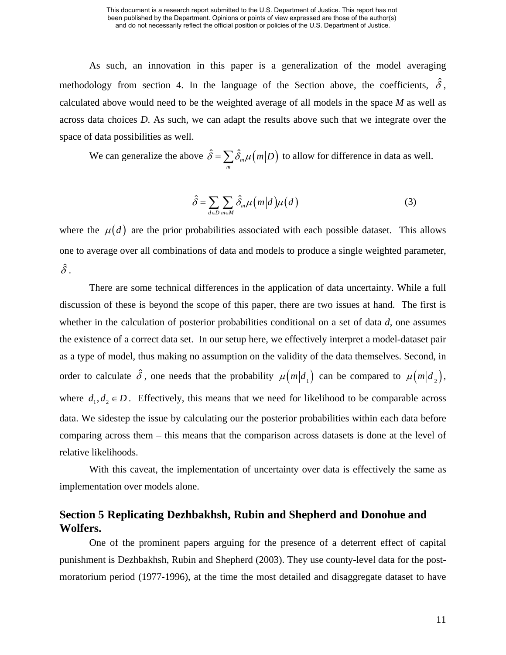As such, an innovation in this paper is a generalization of the model averaging methodology from section 4. In the language of the Section above, the coefficients,  $\hat{\delta}$ , calculated above would need to be the weighted average of all models in the space *M* as well as across data choices *D*. As such, we can adapt the results above such that we integrate over the space of data possibilities as well.

We can generalize the above 
$$
\hat{\delta} = \sum_{m} \hat{\delta}_{m} \mu \left( m | D \right)
$$
 to allow for difference in data as well.

$$
\hat{\delta} = \sum_{d \in D} \sum_{m \in M} \hat{\delta}_m \mu \big( m \big| d \big) \mu \big( d \big) \tag{3}
$$

where the  $\mu(d)$  are the prior probabilities associated with each possible dataset. This allows one to average over all combinations of data and models to produce a single weighted parameter,  $\hat{\delta}$  .

There are some technical differences in the application of data uncertainty. While a full discussion of these is beyond the scope of this paper, there are two issues at hand. The first is whether in the calculation of posterior probabilities conditional on a set of data *d*, one assumes the existence of a correct data set. In our setup here, we effectively interpret a model-dataset pair as a type of model, thus making no assumption on the validity of the data themselves. Second, in order to calculate  $\hat{\delta}$ , one needs that the probability  $\mu(m|d_1)$  can be compared to  $\mu(m|d_2)$ , where  $d_1, d_2 \in D$ . Effectively, this means that we need for likelihood to be comparable across data. We sidestep the issue by calculating our the posterior probabilities within each data before comparing across them – this means that the comparison across datasets is done at the level of relative likelihoods.

With this caveat, the implementation of uncertainty over data is effectively the same as implementation over models alone.

# **Section 5 Replicating Dezhbakhsh, Rubin and Shepherd and Donohue and Wolfers.**

One of the prominent papers arguing for the presence of a deterrent effect of capital punishment is Dezhbakhsh, Rubin and Shepherd (2003). They use county-level data for the postmoratorium period (1977-1996), at the time the most detailed and disaggregate dataset to have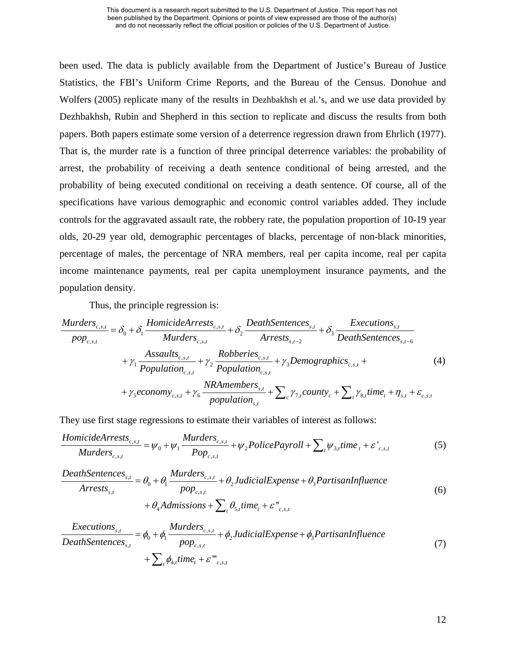been used. The data is publicly available from the Department of Justice's Bureau of Justice Statistics, the FBI's Uniform Crime Reports, and the Bureau of the Census. Donohue and Wolfers (2005) replicate many of the results in Dezhbakhsh et al.'s, and we use data provided by Dezhbakhsh, Rubin and Shepherd in this section to replicate and discuss the results from both papers. Both papers estimate some version of a deterrence regression drawn from Ehrlich (1977). That is, the murder rate is a function of three principal deterrence variables: the probability of arrest, the probability of receiving a death sentence conditional of being arrested, and the probability of being executed conditional on receiving a death sentence. Of course, all of the specifications have various demographic and economic control variables added. They include controls for the aggravated assault rate, the robbery rate, the population proportion of 10-19 year olds, 20-29 year old, demographic percentages of blacks, percentage of non-black minorities, percentage of males, the percentage of NRA members, real per capita income, real per capita income maintenance payments, real per capita unemployment insurance payments, and the population density.

Thus, the principle regression is:

$$
\frac{Murders_{c,s,t}}{pop_{c,s,t}} = \delta_0 + \delta_1 \frac{HomicideArrests_{c,s,t}}{Murders_{c,s,t}} + \delta_2 \frac{DeathSentences_{s,t}}{Arrests_{s,t-2}} + \delta_3 \frac{Execution_{s,t}}{DeathSentences_{s,t-6}} + \gamma_1 \frac{Assaults_{c,s,t}}{Population_{c,s,t}} + \gamma_2 \frac{Robberies_{c,s,t}}{Population_{c,s,t}} + \gamma_3 Demographics_{c,s,t} + \gamma_4 \frac{NRAMembers_{s,t}}{Population_{c,s,t}} + \sum_c \gamma_{\gamma,county_c} + \sum_t \gamma_{s,t} time_t + \eta_{s,t} + \varepsilon_{c,s,t}
$$
\n(4)

They use first stage regressions to estimate their variables of interest as follows:

$$
\frac{HomicideArrests_{c,s,t}}{Murders_{c,s,t}} = \psi_0 + \psi_1 \frac{Murders_{c,s,t}}{Pop_{c,s,t}} + \psi_2 PolicePayroll + \sum_t \psi_{3,t} time_t + \varepsilon'_{c,s,t}
$$
(5)

*DeathSentences<sub>s,t</sub>* = 
$$
\theta_0 + \theta_1 \frac{Murders_{c,s,t}}{pop_{c,s,t}} + \theta_2
$$
*JudicialExpress* +  $\theta_3$ *Partis an Influence*  
+  $\theta_4$ *Admissions* +  $\sum_t \theta_{5,t}$ *time<sub>t</sub>* +  $\varepsilon$ <sup>"</sup><sub>c,s,t</sub> (6)

$$
\frac{Executions_{s,t}}{DeathSentences_{s,t}} = \phi_0 + \phi_1 \frac{Murders_{c,s,t}}{pop_{c,s,t}} + \phi_2 JudicialExpress + \phi_3 PartisanInfluence
$$
  
+  $\sum_{i} \phi_{4,i} time_i + \varepsilon_{oc,s,t}^m$  (7)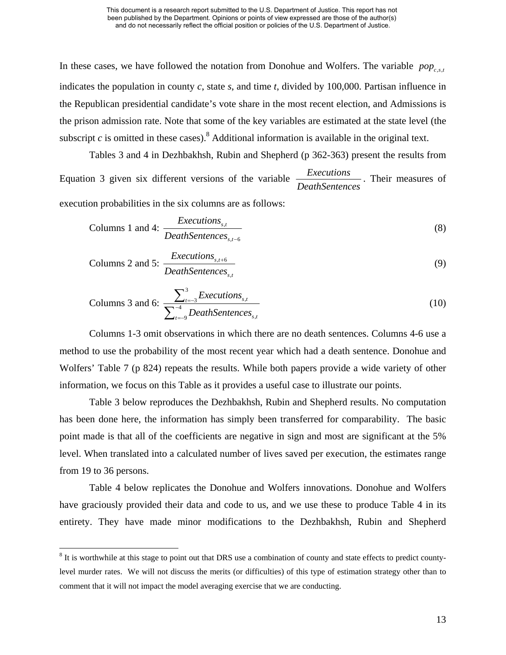In these cases, we have followed the notation from Donohue and Wolfers. The variable  $pop_{c,s,t}$ indicates the population in county *c*, state *s*, and time *t*, divided by 100,000. Partisan influence in the Republican presidential candidate's vote share in the most recent election, and Admissions is the prison admission rate. Note that some of the key variables are estimated at the state level (the subscript  $c$  is omitted in these cases).<sup>8</sup> Additional information is available in the original text.

Tables 3 and 4 in Dezhbakhsh, Rubin and Shepherd (p 362-363) present the results from Equation 3 given six different versions of the variable *Executions DeathSentences* . Their measures of

execution probabilities in the six columns are as follows:

$$
Columns 1 and 4: \frac{Executions_{s,t}}{DeathSentences_{s,t-6}}
$$
\n(8)

$$
Columns 2 and 5: \frac{Executions_{s,t+6}}{DeathSentences_{s,t}}
$$
\n
$$
(9)
$$

Columns 3 and 6: 
$$
\frac{\sum_{t=-3}^{3}Executions_{s,t}}{\sum_{t=-9}^{4}DeathSentences_{s,t}}
$$
 (10)

Columns 1-3 omit observations in which there are no death sentences. Columns 4-6 use a method to use the probability of the most recent year which had a death sentence. Donohue and Wolfers' Table 7 (p 824) repeats the results. While both papers provide a wide variety of other information, we focus on this Table as it provides a useful case to illustrate our points.

Table 3 below reproduces the Dezhbakhsh, Rubin and Shepherd results. No computation has been done here, the information has simply been transferred for comparability. The basic point made is that all of the coefficients are negative in sign and most are significant at the 5% level. When translated into a calculated number of lives saved per execution, the estimates range from 19 to 36 persons.

Table 4 below replicates the Donohue and Wolfers innovations. Donohue and Wolfers have graciously provided their data and code to us, and we use these to produce Table 4 in its entirety. They have made minor modifications to the Dezhbakhsh, Rubin and Shepherd

 $8$  It is worthwhile at this stage to point out that DRS use a combination of county and state effects to predict countylevel murder rates. We will not discuss the merits (or difficulties) of this type of estimation strategy other than to comment that it will not impact the model averaging exercise that we are conducting.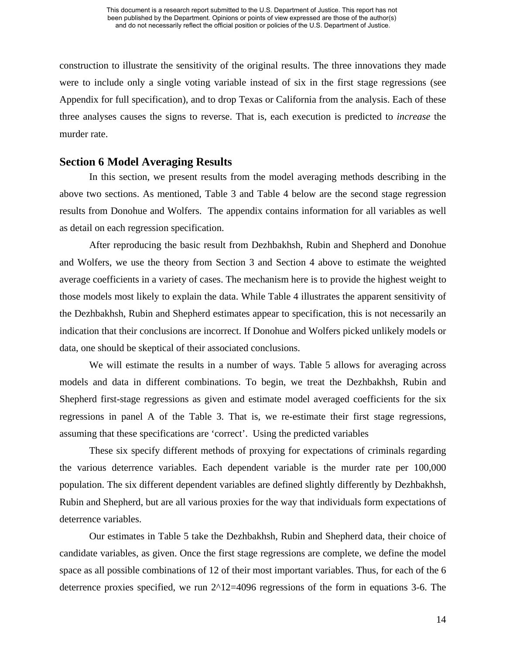construction to illustrate the sensitivity of the original results. The three innovations they made were to include only a single voting variable instead of six in the first stage regressions (see Appendix for full specification), and to drop Texas or California from the analysis. Each of these three analyses causes the signs to reverse. That is, each execution is predicted to *increase* the murder rate.

## **Section 6 Model Averaging Results**

In this section, we present results from the model averaging methods describing in the above two sections. As mentioned, Table 3 and Table 4 below are the second stage regression results from Donohue and Wolfers. The appendix contains information for all variables as well as detail on each regression specification.

After reproducing the basic result from Dezhbakhsh, Rubin and Shepherd and Donohue and Wolfers, we use the theory from Section 3 and Section 4 above to estimate the weighted average coefficients in a variety of cases. The mechanism here is to provide the highest weight to those models most likely to explain the data. While Table 4 illustrates the apparent sensitivity of the Dezhbakhsh, Rubin and Shepherd estimates appear to specification, this is not necessarily an indication that their conclusions are incorrect. If Donohue and Wolfers picked unlikely models or data, one should be skeptical of their associated conclusions.

We will estimate the results in a number of ways. Table 5 allows for averaging across models and data in different combinations. To begin, we treat the Dezhbakhsh, Rubin and Shepherd first-stage regressions as given and estimate model averaged coefficients for the six regressions in panel A of the Table 3. That is, we re-estimate their first stage regressions, assuming that these specifications are 'correct'. Using the predicted variables

These six specify different methods of proxying for expectations of criminals regarding the various deterrence variables. Each dependent variable is the murder rate per 100,000 population. The six different dependent variables are defined slightly differently by Dezhbakhsh, Rubin and Shepherd, but are all various proxies for the way that individuals form expectations of deterrence variables.

Our estimates in Table 5 take the Dezhbakhsh, Rubin and Shepherd data, their choice of candidate variables, as given. Once the first stage regressions are complete, we define the model space as all possible combinations of 12 of their most important variables. Thus, for each of the 6 deterrence proxies specified, we run  $2^{\wedge}12=4096$  regressions of the form in equations 3-6. The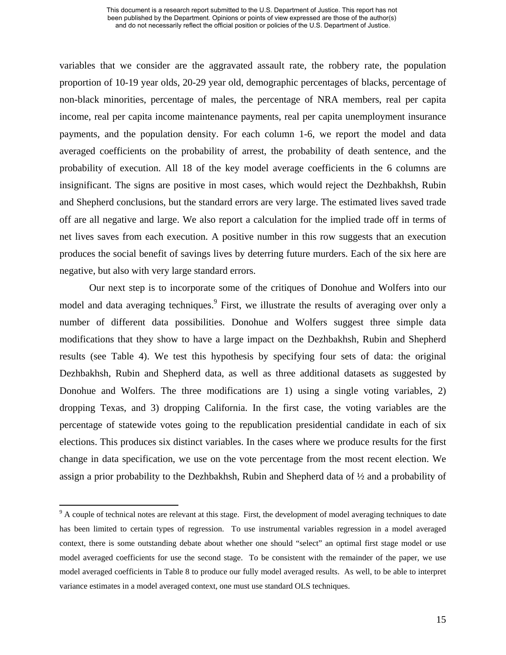variables that we consider are the aggravated assault rate, the robbery rate, the population proportion of 10-19 year olds, 20-29 year old, demographic percentages of blacks, percentage of non-black minorities, percentage of males, the percentage of NRA members, real per capita income, real per capita income maintenance payments, real per capita unemployment insurance payments, and the population density. For each column 1-6, we report the model and data averaged coefficients on the probability of arrest, the probability of death sentence, and the probability of execution. All 18 of the key model average coefficients in the 6 columns are insignificant. The signs are positive in most cases, which would reject the Dezhbakhsh, Rubin and Shepherd conclusions, but the standard errors are very large. The estimated lives saved trade off are all negative and large. We also report a calculation for the implied trade off in terms of net lives saves from each execution. A positive number in this row suggests that an execution produces the social benefit of savings lives by deterring future murders. Each of the six here are negative, but also with very large standard errors.

Our next step is to incorporate some of the critiques of Donohue and Wolfers into our model and data averaging techniques.<sup>9</sup> First, we illustrate the results of averaging over only a number of different data possibilities. Donohue and Wolfers suggest three simple data modifications that they show to have a large impact on the Dezhbakhsh, Rubin and Shepherd results (see Table 4). We test this hypothesis by specifying four sets of data: the original Dezhbakhsh, Rubin and Shepherd data, as well as three additional datasets as suggested by Donohue and Wolfers. The three modifications are 1) using a single voting variables, 2) dropping Texas, and 3) dropping California. In the first case, the voting variables are the percentage of statewide votes going to the republication presidential candidate in each of six elections. This produces six distinct variables. In the cases where we produce results for the first change in data specification, we use on the vote percentage from the most recent election. We assign a prior probability to the Dezhbakhsh, Rubin and Shepherd data of ½ and a probability of

 $9<sup>9</sup>$  A couple of technical notes are relevant at this stage. First, the development of model averaging techniques to date has been limited to certain types of regression. To use instrumental variables regression in a model averaged context, there is some outstanding debate about whether one should "select" an optimal first stage model or use model averaged coefficients for use the second stage. To be consistent with the remainder of the paper, we use model averaged coefficients in Table 8 to produce our fully model averaged results. As well, to be able to interpret variance estimates in a model averaged context, one must use standard OLS techniques.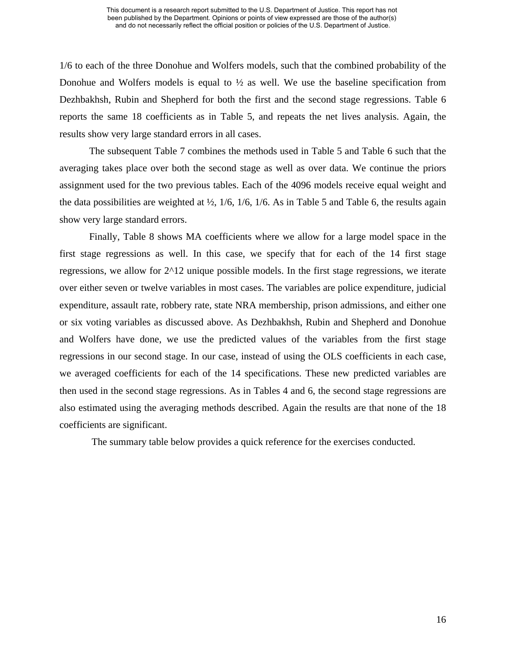1/6 to each of the three Donohue and Wolfers models, such that the combined probability of the Donohue and Wolfers models is equal to  $\frac{1}{2}$  as well. We use the baseline specification from Dezhbakhsh, Rubin and Shepherd for both the first and the second stage regressions. Table 6 reports the same 18 coefficients as in Table 5, and repeats the net lives analysis. Again, the results show very large standard errors in all cases.

The subsequent Table 7 combines the methods used in Table 5 and Table 6 such that the averaging takes place over both the second stage as well as over data. We continue the priors assignment used for the two previous tables. Each of the 4096 models receive equal weight and the data possibilities are weighted at  $\frac{1}{2}$ , 1/6, 1/6, 1/6. As in Table 5 and Table 6, the results again show very large standard errors.

Finally, Table 8 shows MA coefficients where we allow for a large model space in the first stage regressions as well. In this case, we specify that for each of the 14 first stage regressions, we allow for 2^12 unique possible models. In the first stage regressions, we iterate over either seven or twelve variables in most cases. The variables are police expenditure, judicial expenditure, assault rate, robbery rate, state NRA membership, prison admissions, and either one or six voting variables as discussed above. As Dezhbakhsh, Rubin and Shepherd and Donohue and Wolfers have done, we use the predicted values of the variables from the first stage regressions in our second stage. In our case, instead of using the OLS coefficients in each case, we averaged coefficients for each of the 14 specifications. These new predicted variables are then used in the second stage regressions. As in Tables 4 and 6, the second stage regressions are also estimated using the averaging methods described. Again the results are that none of the 18 coefficients are significant.

The summary table below provides a quick reference for the exercises conducted.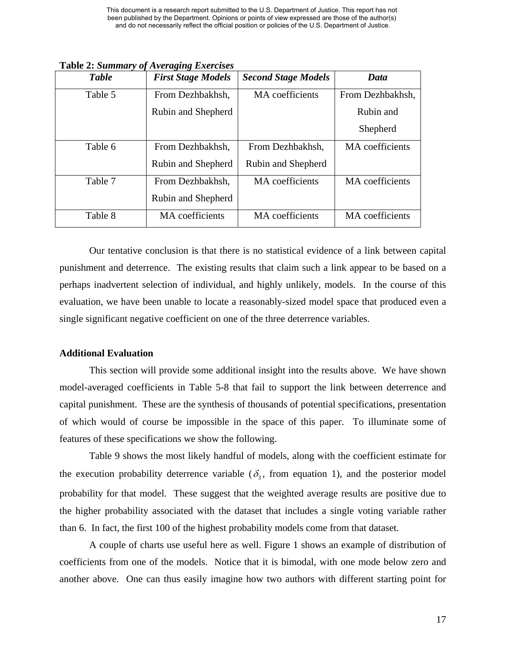| <b>Table</b> | <b>First Stage Models</b> | <b>Second Stage Models</b> | Data             |
|--------------|---------------------------|----------------------------|------------------|
| Table 5      | From Dezhbakhsh,          | MA coefficients            | From Dezhbakhsh, |
|              | Rubin and Shepherd        |                            | Rubin and        |
|              |                           |                            | Shepherd         |
| Table 6      | From Dezhbakhsh,          | From Dezhbakhsh,           | MA coefficients  |
|              | Rubin and Shepherd        | Rubin and Shepherd         |                  |
| Table 7      | From Dezhbakhsh,          | MA coefficients            | MA coefficients  |
|              | Rubin and Shepherd        |                            |                  |
| Table 8      | MA coefficients           | MA coefficients            | MA coefficients  |

**Table 2:** *Summary of Averaging Exercises* 

Our tentative conclusion is that there is no statistical evidence of a link between capital punishment and deterrence. The existing results that claim such a link appear to be based on a perhaps inadvertent selection of individual, and highly unlikely, models. In the course of this evaluation, we have been unable to locate a reasonably-sized model space that produced even a single significant negative coefficient on one of the three deterrence variables.

## **Additional Evaluation**

This section will provide some additional insight into the results above. We have shown model-averaged coefficients in Table 5-8 that fail to support the link between deterrence and capital punishment. These are the synthesis of thousands of potential specifications, presentation of which would of course be impossible in the space of this paper. To illuminate some of features of these specifications we show the following.

Table 9 shows the most likely handful of models, along with the coefficient estimate for the execution probability deterrence variable ( $\delta_3$ , from equation 1), and the posterior model probability for that model. These suggest that the weighted average results are positive due to the higher probability associated with the dataset that includes a single voting variable rather than 6. In fact, the first 100 of the highest probability models come from that dataset.

A couple of charts use useful here as well. Figure 1 shows an example of distribution of coefficients from one of the models. Notice that it is bimodal, with one mode below zero and another above. One can thus easily imagine how two authors with different starting point for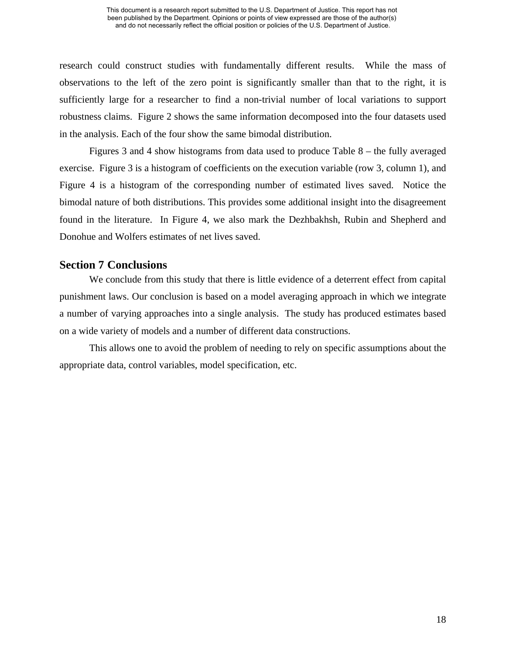research could construct studies with fundamentally different results. While the mass of observations to the left of the zero point is significantly smaller than that to the right, it is sufficiently large for a researcher to find a non-trivial number of local variations to support robustness claims. Figure 2 shows the same information decomposed into the four datasets used in the analysis. Each of the four show the same bimodal distribution.

Figures 3 and 4 show histograms from data used to produce Table 8 – the fully averaged exercise. Figure 3 is a histogram of coefficients on the execution variable (row 3, column 1), and Figure 4 is a histogram of the corresponding number of estimated lives saved. Notice the bimodal nature of both distributions. This provides some additional insight into the disagreement found in the literature. In Figure 4, we also mark the Dezhbakhsh, Rubin and Shepherd and Donohue and Wolfers estimates of net lives saved.

# **Section 7 Conclusions**

We conclude from this study that there is little evidence of a deterrent effect from capital punishment laws. Our conclusion is based on a model averaging approach in which we integrate a number of varying approaches into a single analysis. The study has produced estimates based on a wide variety of models and a number of different data constructions.

This allows one to avoid the problem of needing to rely on specific assumptions about the appropriate data, control variables, model specification, etc.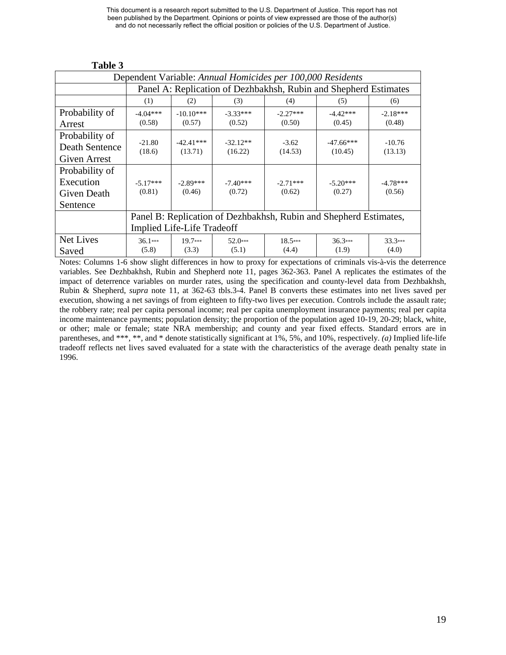#### Dependent Variable: *Annual Homicides per 100,000 Residents*  Panel A: Replication of Dezhbakhsh, Rubin and Shepherd Estimates  $(1)$   $(2)$   $(3)$   $(4)$   $(5)$   $(6)$ Probability of Arrest -4.04\*\*\*  $(0.58)$ -10.10\*\*\*  $(0.57)$ -3.33\*\*\*  $(0.52)$  $-2.27***$  $(0.50)$  $-4.42***$  $(0.45)$ -2.18\*\*\* (0.48) Probability of Death Sentence Given Arrest -21.80 (18.6)  $-42.41***$ (13.71) -32.12\*\* (16.22) -3.62 (14.53)  $-47.66***$  $(10.45)$ -10.76 (13.13) Probability of Execution Given Death Sentence -5.17\*\*\* (0.81) -2.89\*\*\* (0.46) -7.40\*\*\* (0.72) -2.71\*\*\* (0.62)  $-5.20***$ (0.27) -4.78\*\*\* (0.56) Panel B: Replication of Dezhbakhsh, Rubin and Shepherd Estimates, Implied Life-Life Tradeoff Net Lives Saved 36.1\*\*\* (5.8) 19.7\*\*\* (3.3) 52.0\*\*\* (5.1) 18.5\*\*\* (4.4) 36.3\*\*\* (1.9) 33.3\*\*\* (4.0)

 **Table 3** 

Notes: Columns 1-6 show slight differences in how to proxy for expectations of criminals vis-à-vis the deterrence variables. See Dezhbakhsh, Rubin and Shepherd note 11, pages 362-363. Panel A replicates the estimates of the impact of deterrence variables on murder rates, using the specification and county-level data from Dezhbakhsh, Rubin & Shepherd, *supra* note 11, at 362-63 tbls.3-4. Panel B converts these estimates into net lives saved per execution, showing a net savings of from eighteen to fifty-two lives per execution. Controls include the assault rate; the robbery rate; real per capita personal income; real per capita unemployment insurance payments; real per capita income maintenance payments; population density; the proportion of the population aged 10-19, 20-29; black, white, or other; male or female; state NRA membership; and county and year fixed effects. Standard errors are in parentheses, and \*\*\*, \*\*, and \* denote statistically significant at 1%, 5%, and 10%, respectively. *(a)* Implied life-life tradeoff reflects net lives saved evaluated for a state with the characteristics of the average death penalty state in 1996.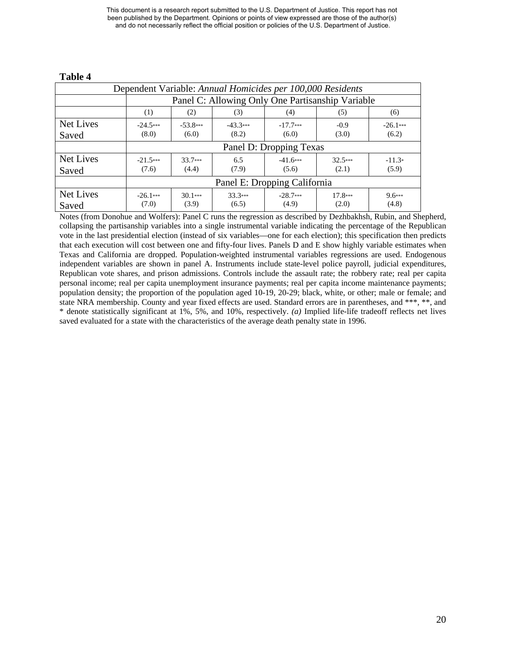| Dependent Variable: Annual Homicides per 100,000 Residents |                                                                                                                                    |                                                  |                    |                     |                    |                   |  |  |  |
|------------------------------------------------------------|------------------------------------------------------------------------------------------------------------------------------------|--------------------------------------------------|--------------------|---------------------|--------------------|-------------------|--|--|--|
|                                                            |                                                                                                                                    | Panel C: Allowing Only One Partisanship Variable |                    |                     |                    |                   |  |  |  |
|                                                            | (1)                                                                                                                                | (2)<br>(3)<br>(5)<br>(4)<br>(6)                  |                    |                     |                    |                   |  |  |  |
| Net Lives<br>Saved                                         | $-43.3***$<br>$-17.7***$<br>$-24.5***$<br>$-53.8***$<br>$-26.1***$<br>$-0.9$<br>(6.2)<br>(8.0)<br>(6.0)<br>(8.2)<br>(6.0)<br>(3.0) |                                                  |                    |                     |                    |                   |  |  |  |
|                                                            | Panel D: Dropping Texas                                                                                                            |                                                  |                    |                     |                    |                   |  |  |  |
| Net Lives<br>Saved                                         | $-21.5***$<br>(7.6)                                                                                                                | $33.7***$<br>(4.4)                               | 6.5<br>(7.9)       | $-41.6***$<br>(5.6) | $32.5***$<br>(2.1) | $-11.3*$<br>(5.9) |  |  |  |
|                                                            |                                                                                                                                    | Panel E: Dropping California                     |                    |                     |                    |                   |  |  |  |
| Net Lives<br>Saved                                         | $-26.1***$<br>(7.0)                                                                                                                | $30.1***$<br>(3.9)                               | $33.3***$<br>(6.5) | $-28.7***$<br>(4.9) | $17.8***$<br>(2.0) | $9.6***$<br>(4.8) |  |  |  |

#### **Table 4**

Notes (from Donohue and Wolfers): Panel C runs the regression as described by Dezhbakhsh, Rubin, and Shepherd, collapsing the partisanship variables into a single instrumental variable indicating the percentage of the Republican vote in the last presidential election (instead of six variables—one for each election); this specification then predicts that each execution will cost between one and fifty-four lives. Panels D and E show highly variable estimates when Texas and California are dropped. Population-weighted instrumental variables regressions are used. Endogenous independent variables are shown in panel A. Instruments include state-level police payroll, judicial expenditures, Republican vote shares, and prison admissions. Controls include the assault rate; the robbery rate; real per capita personal income; real per capita unemployment insurance payments; real per capita income maintenance payments; population density; the proportion of the population aged 10-19, 20-29; black, white, or other; male or female; and state NRA membership. County and year fixed effects are used. Standard errors are in parentheses, and \*\*\*, \*\*, and \* denote statistically significant at 1%, 5%, and 10%, respectively. *(a)* Implied life-life tradeoff reflects net lives saved evaluated for a state with the characteristics of the average death penalty state in 1996.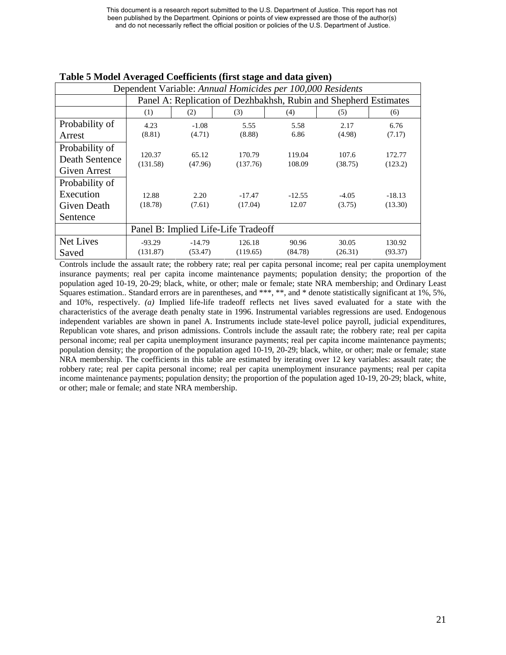| Dependent Variable: Annual Homicides per 100,000 Residents |          |                                                                  |                                     |          |         |          |  |  |  |  |  |
|------------------------------------------------------------|----------|------------------------------------------------------------------|-------------------------------------|----------|---------|----------|--|--|--|--|--|
|                                                            |          | Panel A: Replication of Dezhbakhsh, Rubin and Shepherd Estimates |                                     |          |         |          |  |  |  |  |  |
|                                                            | (1)      | (2)<br>(3)<br>(4)<br>(5)<br>(6)                                  |                                     |          |         |          |  |  |  |  |  |
| Probability of                                             | 4.23     | $-1.08$                                                          | 5.55                                | 5.58     | 2.17    | 6.76     |  |  |  |  |  |
| Arrest                                                     | (8.81)   | (4.71)                                                           | (8.88)                              | 6.86     | (4.98)  | (7.17)   |  |  |  |  |  |
| Probability of                                             |          |                                                                  |                                     |          |         |          |  |  |  |  |  |
| Death Sentence                                             | 120.37   | 65.12                                                            | 170.79                              | 119.04   | 107.6   | 172.77   |  |  |  |  |  |
| <b>Given Arrest</b>                                        | (131.58) | (47.96)                                                          | (137.76)                            | 108.09   | (38.75) | (123.2)  |  |  |  |  |  |
| Probability of                                             |          |                                                                  |                                     |          |         |          |  |  |  |  |  |
| Execution                                                  | 12.88    | 2.20                                                             | $-17.47$                            | $-12.55$ | $-4.05$ | $-18.13$ |  |  |  |  |  |
| Given Death                                                | (18.78)  | (7.61)                                                           | (17.04)                             | 12.07    | (3.75)  | (13.30)  |  |  |  |  |  |
| Sentence                                                   |          |                                                                  |                                     |          |         |          |  |  |  |  |  |
|                                                            |          |                                                                  | Panel B: Implied Life-Life Tradeoff |          |         |          |  |  |  |  |  |
| <b>Net Lives</b>                                           | $-93.29$ | $-14.79$                                                         | 126.18                              | 90.96    | 30.05   | 130.92   |  |  |  |  |  |
| Saved                                                      | (131.87) | (53.47)                                                          | (119.65)                            | (84.78)  | (26.31) | (93.37)  |  |  |  |  |  |

#### **Table 5 Model Averaged Coefficients (first stage and data given)**

Controls include the assault rate; the robbery rate; real per capita personal income; real per capita unemployment insurance payments; real per capita income maintenance payments; population density; the proportion of the population aged 10-19, 20-29; black, white, or other; male or female; state NRA membership; and Ordinary Least Squares estimation.. Standard errors are in parentheses, and \*\*\*, \*\*, and \* denote statistically significant at 1%, 5%. and 10%, respectively. *(a)* Implied life-life tradeoff reflects net lives saved evaluated for a state with the characteristics of the average death penalty state in 1996. Instrumental variables regressions are used. Endogenous independent variables are shown in panel A. Instruments include state-level police payroll, judicial expenditures, Republican vote shares, and prison admissions. Controls include the assault rate; the robbery rate; real per capita personal income; real per capita unemployment insurance payments; real per capita income maintenance payments; population density; the proportion of the population aged 10-19, 20-29; black, white, or other; male or female; state NRA membership. The coefficients in this table are estimated by iterating over 12 key variables: assault rate; the robbery rate; real per capita personal income; real per capita unemployment insurance payments; real per capita income maintenance payments; population density; the proportion of the population aged 10-19, 20-29; black, white, or other; male or female; and state NRA membership.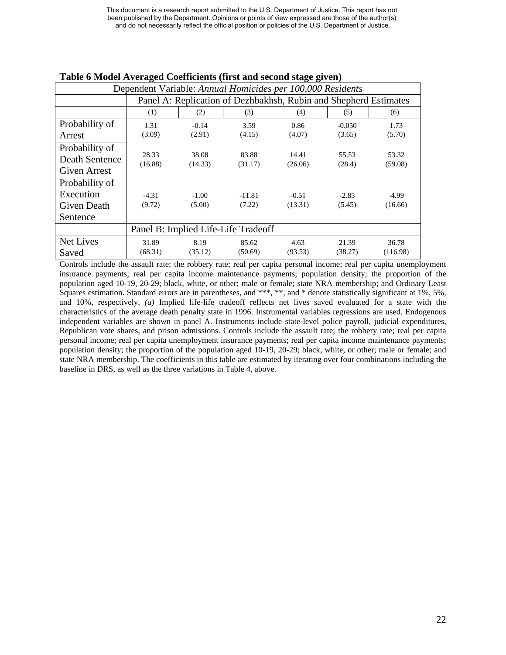| Dependent Variable: Annual Homicides per 100,000 Residents |                  |                                                                  |                                     |         |          |                  |  |  |  |  |  |
|------------------------------------------------------------|------------------|------------------------------------------------------------------|-------------------------------------|---------|----------|------------------|--|--|--|--|--|
|                                                            |                  | Panel A: Replication of Dezhbakhsh, Rubin and Shepherd Estimates |                                     |         |          |                  |  |  |  |  |  |
|                                                            | (1)              | (2)<br>(3)<br>(4)<br>(5)<br>(6)                                  |                                     |         |          |                  |  |  |  |  |  |
| Probability of                                             | 1.31             | $-0.14$                                                          | 3.59                                | 0.86    | $-0.050$ | 1.73             |  |  |  |  |  |
| Arrest                                                     | (3.09)           | (2.91)                                                           | (4.15)                              | (4.07)  | (3.65)   | (5.70)           |  |  |  |  |  |
| Probability of                                             |                  |                                                                  |                                     |         |          |                  |  |  |  |  |  |
| Death Sentence                                             | 28.33<br>(16.88) | 38.08                                                            | 83.88                               | 14.41   | 55.53    | 53.32<br>(59.08) |  |  |  |  |  |
| <b>Given Arrest</b>                                        |                  | (14.33)                                                          | (31.17)                             | (26.06) | (28.4)   |                  |  |  |  |  |  |
| Probability of                                             |                  |                                                                  |                                     |         |          |                  |  |  |  |  |  |
| Execution                                                  | $-4.31$          | $-1.00$                                                          | $-11.81$                            | $-0.51$ | $-2.85$  | $-4.99$          |  |  |  |  |  |
| <b>Given Death</b>                                         | (9.72)           | (5.00)                                                           | (7.22)                              | (13.31) | (5.45)   | (16.66)          |  |  |  |  |  |
| Sentence                                                   |                  |                                                                  |                                     |         |          |                  |  |  |  |  |  |
|                                                            |                  |                                                                  | Panel B: Implied Life-Life Tradeoff |         |          |                  |  |  |  |  |  |
| Net Lives                                                  | 31.89            | 8.19                                                             | 85.62                               | 4.63    | 21.39    | 36.78            |  |  |  |  |  |
| Saved                                                      | (68.31)          | (35.12)                                                          | (50.69)                             | (93.53) | (38.27)  | (116.98)         |  |  |  |  |  |

#### **Table 6 Model Averaged Coefficients (first and second stage given)**

Controls include the assault rate; the robbery rate; real per capita personal income; real per capita unemployment insurance payments; real per capita income maintenance payments; population density; the proportion of the population aged 10-19, 20-29; black, white, or other; male or female; state NRA membership; and Ordinary Least Squares estimation. Standard errors are in parentheses, and \*\*\*, \*\*, and \* denote statistically significant at 1%, 5%. and 10%, respectively. *(a)* Implied life-life tradeoff reflects net lives saved evaluated for a state with the characteristics of the average death penalty state in 1996. Instrumental variables regressions are used. Endogenous independent variables are shown in panel A. Instruments include state-level police payroll, judicial expenditures, Republican vote shares, and prison admissions. Controls include the assault rate; the robbery rate; real per capita personal income; real per capita unemployment insurance payments; real per capita income maintenance payments; population density; the proportion of the population aged 10-19, 20-29; black, white, or other; male or female; and state NRA membership. The coefficients in this table are estimated by iterating over four combinations including the baseline in DRS, as well as the three variations in Table 4, above.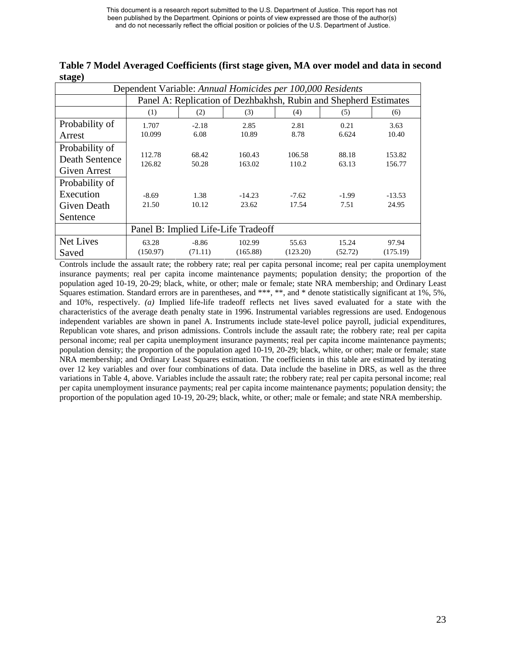| Dependent Variable: Annual Homicides per 100,000 Residents |                  |                                                                  |                                     |          |         |                  |  |  |  |  |  |
|------------------------------------------------------------|------------------|------------------------------------------------------------------|-------------------------------------|----------|---------|------------------|--|--|--|--|--|
|                                                            |                  | Panel A: Replication of Dezhbakhsh, Rubin and Shepherd Estimates |                                     |          |         |                  |  |  |  |  |  |
|                                                            | (1)              | (2)<br>(3)<br>(4)<br>(5)<br>(6)                                  |                                     |          |         |                  |  |  |  |  |  |
| Probability of                                             | 1.707            | $-2.18$                                                          | 2.85                                | 2.81     | 0.21    | 3.63             |  |  |  |  |  |
| Arrest                                                     | 10.099           | 6.08                                                             | 10.89                               | 8.78     | 6.624   | 10.40            |  |  |  |  |  |
| Probability of                                             |                  |                                                                  |                                     |          |         |                  |  |  |  |  |  |
| Death Sentence                                             | 112.78<br>126.82 | 68.42                                                            | 160.43<br>163.02                    | 106.58   | 88.18   | 153.82<br>156.77 |  |  |  |  |  |
| <b>Given Arrest</b>                                        |                  | 50.28                                                            |                                     | 110.2    | 63.13   |                  |  |  |  |  |  |
| Probability of                                             |                  |                                                                  |                                     |          |         |                  |  |  |  |  |  |
| Execution                                                  | $-8.69$          | 1.38                                                             | $-14.23$                            | $-7.62$  | $-1.99$ | $-13.53$         |  |  |  |  |  |
| Given Death                                                | 21.50            | 10.12                                                            | 23.62                               | 17.54    | 7.51    | 24.95            |  |  |  |  |  |
| Sentence                                                   |                  |                                                                  |                                     |          |         |                  |  |  |  |  |  |
|                                                            |                  |                                                                  | Panel B: Implied Life-Life Tradeoff |          |         |                  |  |  |  |  |  |
| Net Lives                                                  | 63.28            | $-8.86$                                                          | 102.99                              | 55.63    | 15.24   | 97.94            |  |  |  |  |  |
| Saved                                                      | (150.97)         | (71.11)                                                          | (165.88)                            | (123.20) | (52.72) | (175.19)         |  |  |  |  |  |

**Table 7 Model Averaged Coefficients (first stage given, MA over model and data in second stage)** 

Controls include the assault rate; the robbery rate; real per capita personal income; real per capita unemployment insurance payments; real per capita income maintenance payments; population density; the proportion of the population aged 10-19, 20-29; black, white, or other; male or female; state NRA membership; and Ordinary Least Squares estimation. Standard errors are in parentheses, and \*\*\*, \*\*, and \* denote statistically significant at 1%, 5%. and 10%, respectively. *(a)* Implied life-life tradeoff reflects net lives saved evaluated for a state with the characteristics of the average death penalty state in 1996. Instrumental variables regressions are used. Endogenous independent variables are shown in panel A. Instruments include state-level police payroll, judicial expenditures, Republican vote shares, and prison admissions. Controls include the assault rate; the robbery rate; real per capita personal income; real per capita unemployment insurance payments; real per capita income maintenance payments; population density; the proportion of the population aged 10-19, 20-29; black, white, or other; male or female; state NRA membership; and Ordinary Least Squares estimation. The coefficients in this table are estimated by iterating over 12 key variables and over four combinations of data. Data include the baseline in DRS, as well as the three variations in Table 4, above. Variables include the assault rate; the robbery rate; real per capita personal income; real per capita unemployment insurance payments; real per capita income maintenance payments; population density; the proportion of the population aged 10-19, 20-29; black, white, or other; male or female; and state NRA membership.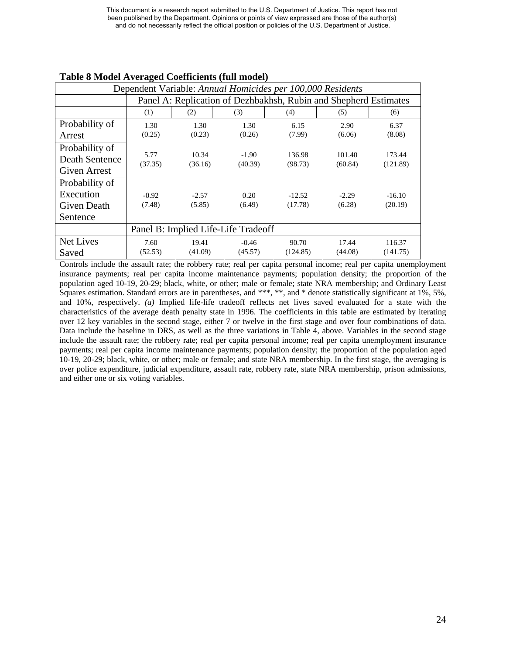| Dependent Variable: Annual Homicides per 100,000 Residents |                 |                                                                  |                                     |                   |                   |                    |  |  |  |  |
|------------------------------------------------------------|-----------------|------------------------------------------------------------------|-------------------------------------|-------------------|-------------------|--------------------|--|--|--|--|
|                                                            |                 | Panel A: Replication of Dezhbakhsh, Rubin and Shepherd Estimates |                                     |                   |                   |                    |  |  |  |  |
|                                                            | (1)             | (2)<br>(3)<br>(4)<br>(5)<br>(6)                                  |                                     |                   |                   |                    |  |  |  |  |
| Probability of                                             | 1.30            | 1.30                                                             | 1.30                                | 6.15              | 2.90              | 6.37               |  |  |  |  |
| Arrest                                                     | (0.25)          | (0.23)                                                           | (0.26)                              | (7.99)            | (6.06)            | (8.08)             |  |  |  |  |
| Probability of                                             |                 |                                                                  |                                     |                   |                   |                    |  |  |  |  |
| Death Sentence                                             | 5.77<br>(37.35) | 10.34<br>(36.16)                                                 | $-1.90$<br>(40.39)                  | 136.98<br>(98.73) | 101.40<br>(60.84) | 173.44<br>(121.89) |  |  |  |  |
| <b>Given Arrest</b>                                        |                 |                                                                  |                                     |                   |                   |                    |  |  |  |  |
| Probability of                                             |                 |                                                                  |                                     |                   |                   |                    |  |  |  |  |
| Execution                                                  | $-0.92$         | $-2.57$                                                          | 0.20                                | $-12.52$          | $-2.29$           | $-16.10$           |  |  |  |  |
| Given Death                                                | (7.48)          | (5.85)                                                           | (6.49)                              | (17.78)           | (6.28)            | (20.19)            |  |  |  |  |
| Sentence                                                   |                 |                                                                  |                                     |                   |                   |                    |  |  |  |  |
|                                                            |                 |                                                                  | Panel B: Implied Life-Life Tradeoff |                   |                   |                    |  |  |  |  |
| Net Lives                                                  | 7.60            | 19.41                                                            | $-0.46$                             | 90.70             | 17.44             | 116.37             |  |  |  |  |
| Saved                                                      | (52.53)         | (41.09)                                                          | (45.57)                             | (124.85)          | (44.08)           | (141.75)           |  |  |  |  |

## **Table 8 Model Averaged Coefficients (full model)**

Controls include the assault rate; the robbery rate; real per capita personal income; real per capita unemployment insurance payments; real per capita income maintenance payments; population density; the proportion of the population aged 10-19, 20-29; black, white, or other; male or female; state NRA membership; and Ordinary Least Squares estimation. Standard errors are in parentheses, and \*\*\*, \*\*, and \* denote statistically significant at 1%, 5%. and 10%, respectively. *(a)* Implied life-life tradeoff reflects net lives saved evaluated for a state with the characteristics of the average death penalty state in 1996. The coefficients in this table are estimated by iterating over 12 key variables in the second stage, either 7 or twelve in the first stage and over four combinations of data. Data include the baseline in DRS, as well as the three variations in Table 4, above. Variables in the second stage include the assault rate; the robbery rate; real per capita personal income; real per capita unemployment insurance payments; real per capita income maintenance payments; population density; the proportion of the population aged 10-19, 20-29; black, white, or other; male or female; and state NRA membership. In the first stage, the averaging is over police expenditure, judicial expenditure, assault rate, robbery rate, state NRA membership, prison admissions, and either one or six voting variables.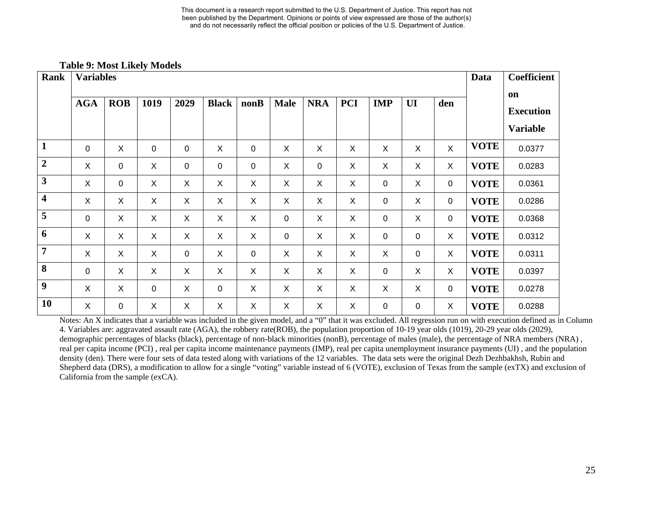#### **Table 9: Most Likely Models**

| <b>Rank</b>             | <b>Variables</b>          |            |                           |             |                |      |                           |                |            |                           |             | <b>Data</b>  | <b>Coefficient</b> |                        |
|-------------------------|---------------------------|------------|---------------------------|-------------|----------------|------|---------------------------|----------------|------------|---------------------------|-------------|--------------|--------------------|------------------------|
|                         | <b>AGA</b>                | <b>ROB</b> | 1019                      | 2029        | <b>Black</b>   | nonB | <b>Male</b>               | <b>NRA</b>     | <b>PCI</b> | <b>IMP</b>                | UI          | den          |                    | on<br><b>Execution</b> |
|                         |                           |            |                           |             |                |      |                           |                |            |                           |             |              |                    | <b>Variable</b>        |
| $\mathbf{1}$            | 0                         | X          | $\mathbf 0$               | $\mathbf 0$ | X              | 0    | $\boldsymbol{\mathsf{X}}$ | X              | $\sf X$    | $\boldsymbol{\mathsf{X}}$ | X           | $\mathsf{X}$ | <b>VOTE</b>        | 0.0377                 |
| $\boldsymbol{2}$        | X                         | 0          | X                         | 0           | $\mathbf 0$    | 0    | X                         | $\mathbf 0$    | X          | X                         | X           | X            | <b>VOTE</b>        | 0.0283                 |
| $\mathbf{3}$            | $\boldsymbol{\mathsf{X}}$ | 0          | X                         | X           | X              | X    | X                         | X              | X          | 0                         | X           | 0            | <b>VOTE</b>        | 0.0361                 |
| $\overline{\mathbf{4}}$ | X                         | X          | X                         | $\mathsf X$ | X              | X    | $\pmb{\times}$            | X              | X          | 0                         | X           | 0            | <b>VOTE</b>        | 0.0286                 |
| 5                       | 0                         | X          | $\boldsymbol{\mathsf{X}}$ | X           | X              | X    | $\mathbf 0$               | X              | X          | $\mathbf 0$               | X           | 0            | <b>VOTE</b>        | 0.0368                 |
| 6                       | X                         | X          | X                         | X           | X              | X    | 0                         | X              | X          | 0                         | $\mathbf 0$ | X            | <b>VOTE</b>        | 0.0312                 |
| $\overline{7}$          | X                         | X          | X                         | $\pmb{0}$   | $\pmb{\times}$ | 0    | $\pmb{\times}$            | $\pmb{\times}$ | X          | $\times$                  | $\pmb{0}$   | X            | <b>VOTE</b>        | 0.0311                 |
| 8                       | 0                         | X          | X                         | X           | X              | X    | X                         | X              | X          | $\mathbf 0$               | X           | X            | <b>VOTE</b>        | 0.0397                 |
| 9                       | X                         | X          | $\mathbf 0$               | X           | $\mathbf 0$    | X    | X                         | X              | X          | X                         | X           | 0            | <b>VOTE</b>        | 0.0278                 |
| 10                      | X                         | 0          | X                         | X           | X              | X    | X                         | X              | X          | $\mathbf 0$               | 0           | X            | <b>VOTE</b>        | 0.0288                 |

Notes: An X indicates that a variable was included in the given model, and a "0" that it was excluded. All regression run on with execution defined as in Column 4. Variables are: aggravated assault rate (AGA), the robbery rate(ROB), the population proportion of 10-19 year olds (1019), 20-29 year olds (2029), demographic percentages of blacks (black), percentage of non-black minorities (nonB), percentage of males (male), the percentage of NRA members (NRA), real per capita income (PCI) , real per capita income maintenance payments (IMP), real per capita unemployment insurance payments (UI) , and the population density (den). There were four sets of data tested along with variations of the 12 variables. The data sets were the original Dezh Dezhbakhsh, Rubin and Shepherd data (DRS), a modification to allow for a single "voting" variable instead of 6 (VOTE), exclusion of Texas from the sample (exTX) and exclusion of California from the sample (exCA).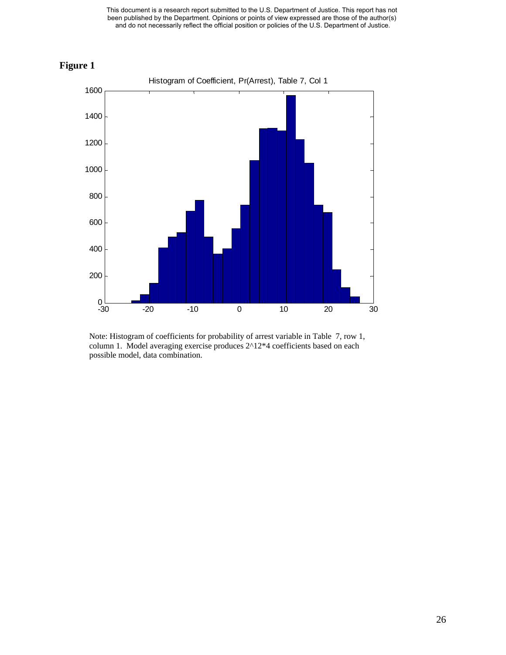



Note: Histogram of coefficients for probability of arrest variable in Table 7, row 1, column 1. Model averaging exercise produces 2^12\*4 coefficients based on each possible model, data combination.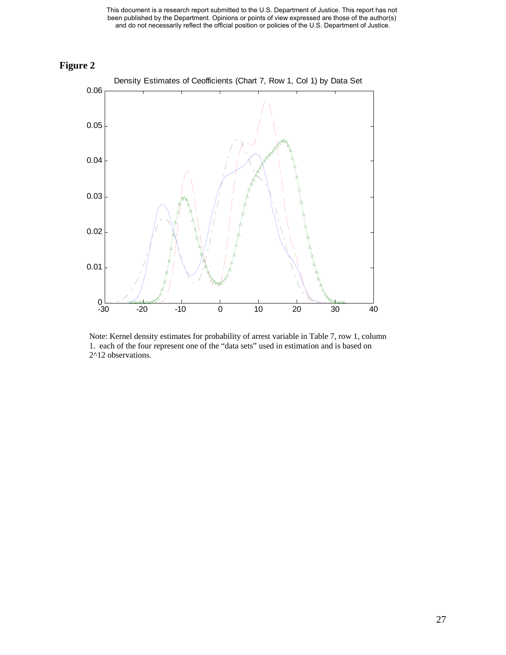



Note: Kernel density estimates for probability of arrest variable in Table 7, row 1, column 1. each of the four represent one of the "data sets" used in estimation and is based on 2^12 observations.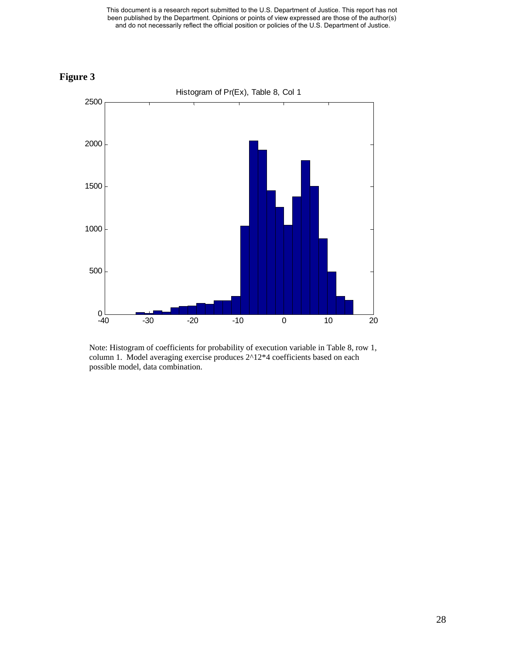



Note: Histogram of coefficients for probability of execution variable in Table 8, row 1, column 1. Model averaging exercise produces 2^12\*4 coefficients based on each possible model, data combination.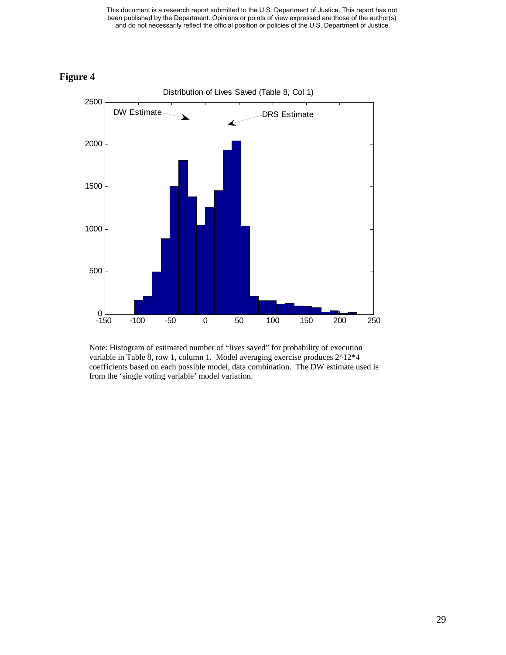

**Figure 4** 

Note: Histogram of estimated number of "lives saved" for probability of execution variable in Table 8, row 1, column 1. Model averaging exercise produces 2^12\*4 coefficients based on each possible model, data combination. The DW estimate used is from the 'single voting variable' model variation.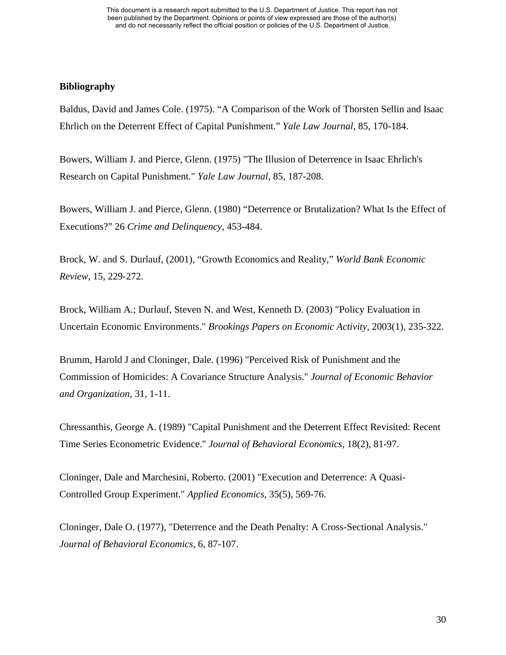## **Bibliography**

Baldus, David and James Cole. (1975). "A Comparison of the Work of Thorsten Sellin and Isaac Ehrlich on the Deterrent Effect of Capital Punishment." *Yale Law Journal*, 85, 170-184.

Bowers, William J. and Pierce, Glenn. (1975) "The Illusion of Deterrence in Isaac Ehrlich's Research on Capital Punishment." *Yale Law Journal*, 85, 187-208.

Bowers, William J. and Pierce, Glenn. (1980) "Deterrence or Brutalization? What Is the Effect of Executions?" 26 *Crime and Delinquency*, 453-484.

Brock, W. and S. Durlauf, (2001), "Growth Economics and Reality," *World Bank Economic Review*, 15, 229-272.

Brock, William A.; Durlauf, Steven N. and West, Kenneth D. (2003) "Policy Evaluation in Uncertain Economic Environments." *Brookings Papers on Economic Activity*, 2003(1), 235-322.

Brumm, Harold J and Cloninger, Dale. (1996) "Perceived Risk of Punishment and the Commission of Homicides: A Covariance Structure Analysis." *Journal of Economic Behavior and Organization*, 31, 1-11.

Chressanthis, George A. (1989) "Capital Punishment and the Deterrent Effect Revisited: Recent Time Series Econometric Evidence." *Journal of Behavioral Economics*, 18(2), 81-97.

Cloninger, Dale and Marchesini, Roberto. (2001) "Execution and Deterrence: A Quasi-Controlled Group Experiment." *Applied Economics*, 35(5), 569-76.

Cloninger, Dale O. (1977), "Deterrence and the Death Penalty: A Cross-Sectional Analysis." *Journal of Behavioral Economics*, 6, 87-107.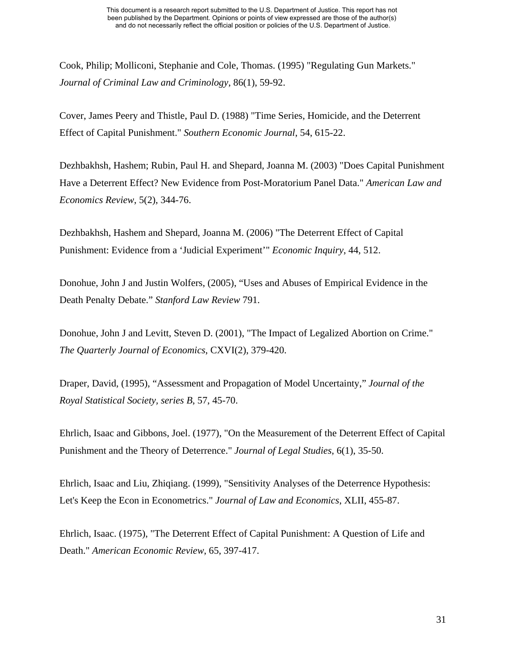Cook, Philip; Molliconi, Stephanie and Cole, Thomas. (1995) "Regulating Gun Markets." *Journal of Criminal Law and Criminology*, 86(1), 59-92.

Cover, James Peery and Thistle, Paul D. (1988) "Time Series, Homicide, and the Deterrent Effect of Capital Punishment." *Southern Economic Journal*, 54, 615-22.

Dezhbakhsh, Hashem; Rubin, Paul H. and Shepard, Joanna M. (2003) "Does Capital Punishment Have a Deterrent Effect? New Evidence from Post-Moratorium Panel Data." *American Law and Economics Review*, 5(2), 344-76.

Dezhbakhsh, Hashem and Shepard, Joanna M. (2006) "The Deterrent Effect of Capital Punishment: Evidence from a 'Judicial Experiment'" *Economic Inquiry*, 44, 512.

Donohue, John J and Justin Wolfers, (2005), "Uses and Abuses of Empirical Evidence in the Death Penalty Debate." *Stanford Law Review* 791.

Donohue, John J and Levitt, Steven D. (2001), "The Impact of Legalized Abortion on Crime." *The Quarterly Journal of Economics*, CXVI(2), 379-420.

Draper, David, (1995), "Assessment and Propagation of Model Uncertainty," *Journal of the Royal Statistical Society, series B*, 57, 45-70.

Ehrlich, Isaac and Gibbons, Joel. (1977), "On the Measurement of the Deterrent Effect of Capital Punishment and the Theory of Deterrence." *Journal of Legal Studies*, 6(1), 35-50.

Ehrlich, Isaac and Liu, Zhiqiang. (1999), "Sensitivity Analyses of the Deterrence Hypothesis: Let's Keep the Econ in Econometrics." *Journal of Law and Economics*, XLII, 455-87.

Ehrlich, Isaac. (1975), "The Deterrent Effect of Capital Punishment: A Question of Life and Death." *American Economic Review*, 65, 397-417.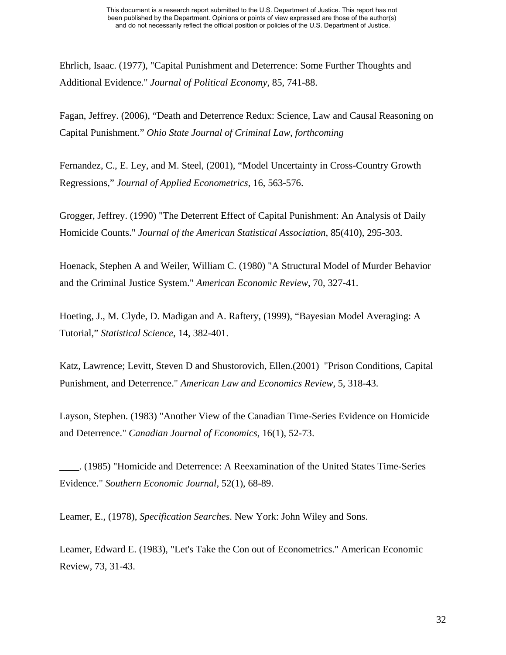Ehrlich, Isaac. (1977), "Capital Punishment and Deterrence: Some Further Thoughts and Additional Evidence." *Journal of Political Economy*, 85, 741-88.

Fagan, Jeffrey. (2006), "Death and Deterrence Redux: Science, Law and Causal Reasoning on Capital Punishment." *Ohio State Journal of Criminal Law*, *forthcoming* 

Fernandez, C., E. Ley, and M. Steel, (2001), "Model Uncertainty in Cross-Country Growth Regressions," *Journal of Applied Econometrics*, 16, 563-576.

Grogger, Jeffrey. (1990) "The Deterrent Effect of Capital Punishment: An Analysis of Daily Homicide Counts." *Journal of the American Statistical Association*, 85(410), 295-303.

Hoenack, Stephen A and Weiler, William C. (1980) "A Structural Model of Murder Behavior and the Criminal Justice System." *American Economic Review*, 70, 327-41.

Hoeting, J., M. Clyde, D. Madigan and A. Raftery, (1999), "Bayesian Model Averaging: A Tutorial," *Statistical Science*, 14, 382-401.

Katz, Lawrence; Levitt, Steven D and Shustorovich, Ellen.(2001) "Prison Conditions, Capital Punishment, and Deterrence." *American Law and Economics Review*, 5, 318-43.

Layson, Stephen. (1983) "Another View of the Canadian Time-Series Evidence on Homicide and Deterrence." *Canadian Journal of Economics*, 16(1), 52-73.

\_\_\_\_. (1985) "Homicide and Deterrence: A Reexamination of the United States Time-Series Evidence." *Southern Economic Journal*, 52(1), 68-89.

Leamer, E., (1978), *Specification Searches*. New York: John Wiley and Sons.

Leamer, Edward E. (1983), "Let's Take the Con out of Econometrics." American Economic Review, 73, 31-43.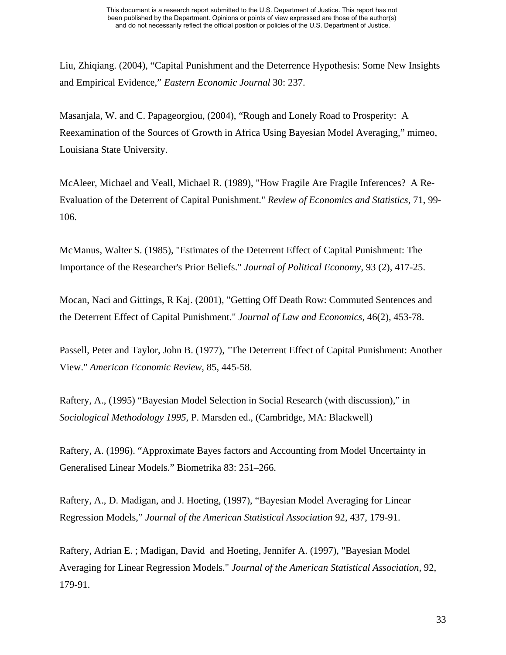Liu, Zhiqiang. (2004), "Capital Punishment and the Deterrence Hypothesis: Some New Insights and Empirical Evidence," *Eastern Economic Journal* 30: 237.

Masanjala, W. and C. Papageorgiou, (2004), "Rough and Lonely Road to Prosperity: A Reexamination of the Sources of Growth in Africa Using Bayesian Model Averaging," mimeo, Louisiana State University.

McAleer, Michael and Veall, Michael R. (1989), "How Fragile Are Fragile Inferences? A Re-Evaluation of the Deterrent of Capital Punishment." *Review of Economics and Statistics*, 71, 99- 106.

McManus, Walter S. (1985), "Estimates of the Deterrent Effect of Capital Punishment: The Importance of the Researcher's Prior Beliefs." *Journal of Political Economy*, 93 (2), 417-25.

Mocan, Naci and Gittings, R Kaj. (2001), "Getting Off Death Row: Commuted Sentences and the Deterrent Effect of Capital Punishment." *Journal of Law and Economics*, 46(2), 453-78.

Passell, Peter and Taylor, John B. (1977), "The Deterrent Effect of Capital Punishment: Another View." *American Economic Review*, 85, 445-58.

Raftery, A., (1995) "Bayesian Model Selection in Social Research (with discussion)," in *Sociological Methodology 1995,* P. Marsden ed., (Cambridge, MA: Blackwell)

Raftery, A. (1996). "Approximate Bayes factors and Accounting from Model Uncertainty in Generalised Linear Models." Biometrika 83: 251–266.

Raftery, A., D. Madigan, and J. Hoeting, (1997), "Bayesian Model Averaging for Linear Regression Models," *Journal of the American Statistical Association* 92, 437, 179-91.

Raftery, Adrian E. ; Madigan, David and Hoeting, Jennifer A. (1997), "Bayesian Model Averaging for Linear Regression Models." *Journal of the American Statistical Association*, 92, 179-91.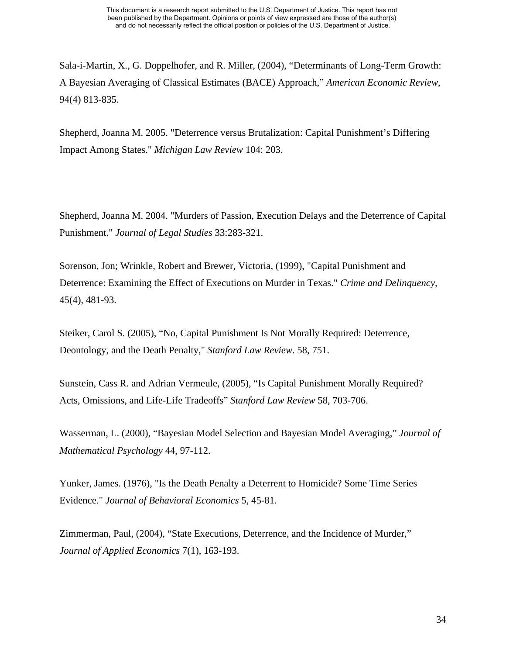Sala-i-Martin, X., G. Doppelhofer, and R. Miller, (2004), "Determinants of Long-Term Growth: A Bayesian Averaging of Classical Estimates (BACE) Approach," *American Economic Review*, 94(4) 813-835.

Shepherd, Joanna M. 2005. "Deterrence versus Brutalization: Capital Punishment's Differing Impact Among States." *Michigan Law Review* 104: 203.

Shepherd, Joanna M. 2004. "Murders of Passion, Execution Delays and the Deterrence of Capital Punishment." *Journal of Legal Studies* 33:283-321.

Sorenson, Jon; Wrinkle, Robert and Brewer, Victoria, (1999), "Capital Punishment and Deterrence: Examining the Effect of Executions on Murder in Texas." *Crime and Delinquency*, 45(4), 481-93.

Steiker, Carol S. (2005), "No, Capital Punishment Is Not Morally Required: Deterrence, Deontology, and the Death Penalty," *Stanford Law Review*. 58, 751.

Sunstein, Cass R. and Adrian Vermeule, (2005), "Is Capital Punishment Morally Required? Acts, Omissions, and Life-Life Tradeoffs" *Stanford Law Review* 58, 703-706.

Wasserman, L. (2000), "Bayesian Model Selection and Bayesian Model Averaging," *Journal of Mathematical Psychology* 44, 97-112.

Yunker, James. (1976), "Is the Death Penalty a Deterrent to Homicide? Some Time Series Evidence." *Journal of Behavioral Economics* 5, 45-81.

Zimmerman, Paul, (2004), "State Executions, Deterrence, and the Incidence of Murder," *Journal of Applied Economics* 7(1), 163-193.